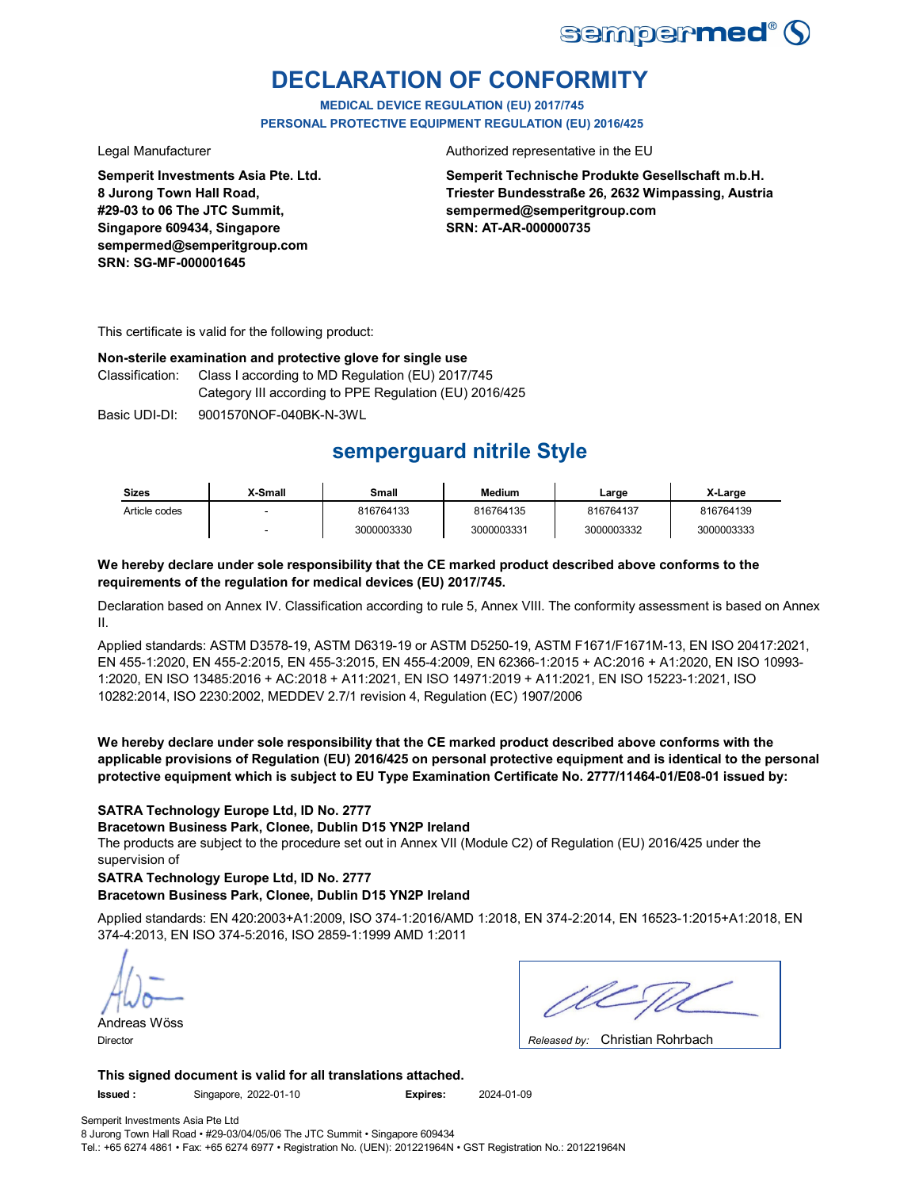

# **DECLARATION OF CONFORMITY**

**MEDICAL DEVICE REGULATION (EU) 2017/745 PERSONAL PROTECTIVE EQUIPMENT REGULATION (EU) 2016/425**

**Semperit Investments Asia Pte. Ltd. 8 Jurong Town Hall Road, #29-03 to 06 The JTC Summit, Singapore 609434, Singapore sempermed@semperitgroup.com SRN: SG-MF-000001645**

Legal Manufacturer **Authorized representative in the EU** 

**Semperit Technische Produkte Gesellschaft m.b.H. Triester Bundesstraße 26, 2632 Wimpassing, Austria sempermed@semperitgroup.com SRN: AT-AR-000000735**

This certificate is valid for the following product:

### **Non-sterile examination and protective glove for single use**

Class I according to MD Regulation (EU) 2017/745 Category III according to PPE Regulation (EU) 2016/425 Classification:

Basic UDI-DI: 9001570NOF-040BK-N-3WL

# **semperguard nitrile Style**

| <b>Sizes</b>  | X-Small | Small      | <b>Medium</b> | Large      | X-Large    |
|---------------|---------|------------|---------------|------------|------------|
| Article codes |         | 816764133  | 816764135     | 816764137  | 816764139  |
|               |         | 3000003330 | 3000003331    | 3000003332 | 3000003333 |

### **We hereby declare under sole responsibility that the CE marked product described above conforms to the requirements of the regulation for medical devices (EU) 2017/745.**

Declaration based on Annex IV. Classification according to rule 5, Annex VIII. The conformity assessment is based on Annex II.

Applied standards: ASTM D3578-19, ASTM D6319-19 or ASTM D5250-19, ASTM F1671/F1671M-13, EN ISO 20417:2021, EN 455-1:2020, EN 455-2:2015, EN 455-3:2015, EN 455-4:2009, EN 62366-1:2015 + AC:2016 + A1:2020, EN ISO 10993- 1:2020, EN ISO 13485:2016 + AC:2018 + A11:2021, EN ISO 14971:2019 + A11:2021, EN ISO 15223-1:2021, ISO 10282:2014, ISO 2230:2002, MEDDEV 2.7/1 revision 4, Regulation (EC) 1907/2006

**We hereby declare under sole responsibility that the CE marked product described above conforms with the applicable provisions of Regulation (EU) 2016/425 on personal protective equipment and is identical to the personal protective equipment which is subject to EU Type Examination Certificate No. 2777/11464-01/E08-01 issued by:**

### **SATRA Technology Europe Ltd, ID No. 2777**

**Bracetown Business Park, Clonee, Dublin D15 YN2P Ireland**

The products are subject to the procedure set out in Annex VII (Module C2) of Regulation (EU) 2016/425 under the supervision of

### **SATRA Technology Europe Ltd, ID No. 2777**

### **Bracetown Business Park, Clonee, Dublin D15 YN2P Ireland**

Applied standards: EN 420:2003+A1:2009, ISO 374-1:2016/AMD 1:2018, EN 374-2:2014, EN 16523-1:2015+A1:2018, EN 374-4:2013, EN ISO 374-5:2016, ISO 2859-1:1999 AMD 1:2011

Andreas Wöss Director *Released by:* 

| $\sim$ $\sim$ $\sim$ $\sim$ $\sim$ $\sim$ $\sim$ |  |
|--------------------------------------------------|--|

Released by: Christian Rohrbach

**This signed document is valid for all translations attached.**

**Issued :** Singapore, 2022-01-10 **Expires:** 2024-01-09

Semperit Investments Asia Pte Ltd 8 Jurong Town Hall Road • #29-03/04/05/06 The JTC Summit • Singapore 609434 Tel.: +65 6274 4861 • Fax: +65 6274 6977 • Registration No. (UEN): 201221964N • GST Registration No.: 201221964N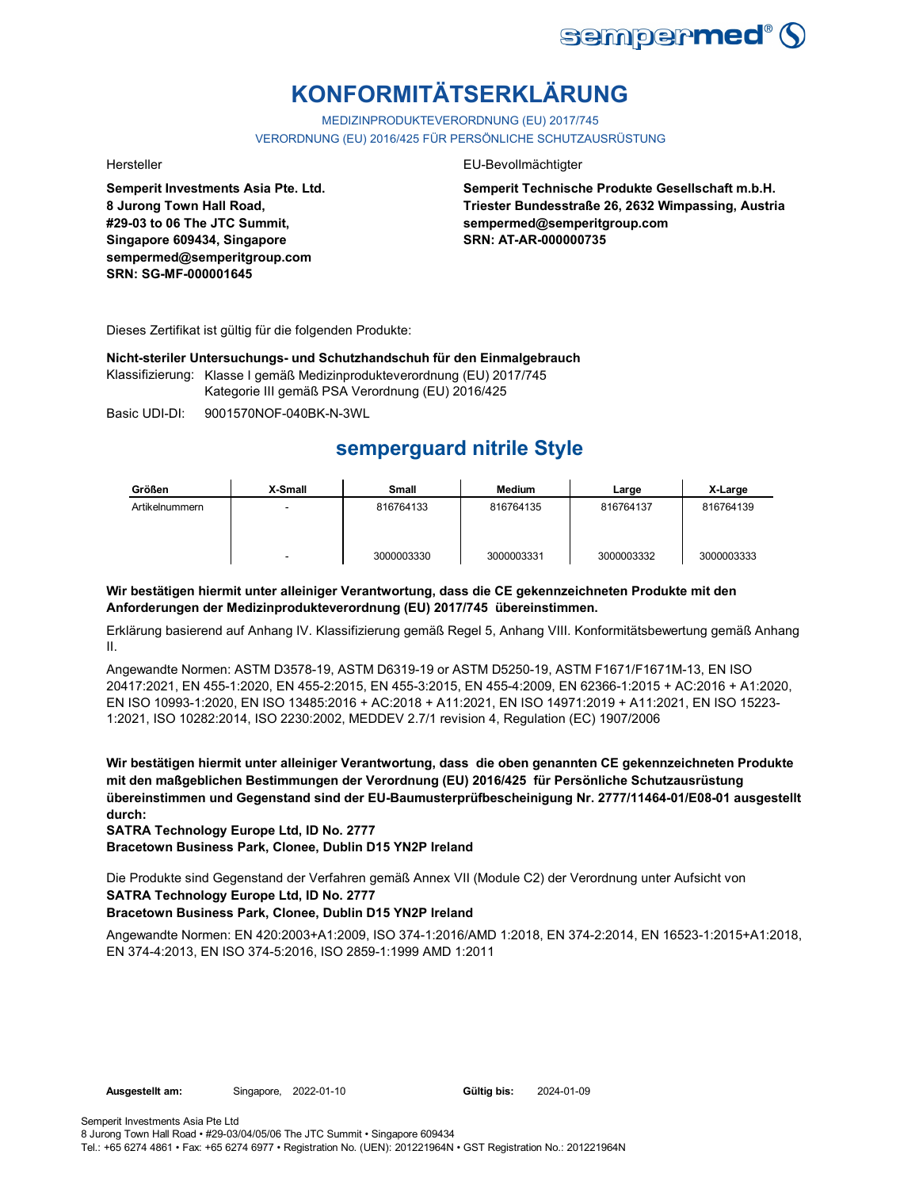

# **KONFORMITÄTSERKLÄRUNG**

MEDIZINPRODUKTEVERORDNUNG (EU) 2017/745 VERORDNUNG (EU) 2016/425 FÜR PERSÖNLICHE SCHUTZAUSRÜSTUNG

**Semperit Investments Asia Pte. Ltd. 8 Jurong Town Hall Road, #29-03 to 06 The JTC Summit, Singapore 609434, Singapore sempermed@semperitgroup.com SRN: SG-MF-000001645**

#### Hersteller EU-Bevollmächtigter

**Semperit Technische Produkte Gesellschaft m.b.H. Triester Bundesstraße 26, 2632 Wimpassing, Austria sempermed@semperitgroup.com SRN: AT-AR-000000735**

Dieses Zertifikat ist gültig für die folgenden Produkte:

**Nicht-steriler Untersuchungs- und Schutzhandschuh für den Einmalgebrauch**

Klassifizierung: Klasse I gemäß Medizinprodukteverordnung (EU) 2017/745 Kategorie III gemäß PSA Verordnung (EU) 2016/425

Basic UDI-DI: 9001570NOF-040BK-N-3WL

# **semperguard nitrile Style**

| Größen         | X-Small | <b>Small</b> | <b>Medium</b> | Large      | X-Large    |
|----------------|---------|--------------|---------------|------------|------------|
| Artikelnummern |         | 816764133    | 816764135     | 816764137  | 816764139  |
|                |         |              |               |            |            |
|                |         |              |               |            |            |
|                | -       | 3000003330   | 3000003331    | 3000003332 | 3000003333 |

### **Wir bestätigen hiermit unter alleiniger Verantwortung, dass die CE gekennzeichneten Produkte mit den Anforderungen der Medizinprodukteverordnung (EU) 2017/745 übereinstimmen.**

Erklärung basierend auf Anhang IV. Klassifizierung gemäß Regel 5, Anhang VIII. Konformitätsbewertung gemäß Anhang II.

Angewandte Normen: ASTM D3578-19, ASTM D6319-19 or ASTM D5250-19, ASTM F1671/F1671M-13, EN ISO 20417:2021, EN 455-1:2020, EN 455-2:2015, EN 455-3:2015, EN 455-4:2009, EN 62366-1:2015 + AC:2016 + A1:2020, EN ISO 10993-1:2020, EN ISO 13485:2016 + AC:2018 + A11:2021, EN ISO 14971:2019 + A11:2021, EN ISO 15223- 1:2021, ISO 10282:2014, ISO 2230:2002, MEDDEV 2.7/1 revision 4, Regulation (EC) 1907/2006

**Wir bestätigen hiermit unter alleiniger Verantwortung, dass die oben genannten CE gekennzeichneten Produkte mit den maßgeblichen Bestimmungen der Verordnung (EU) 2016/425 für Persönliche Schutzausrüstung übereinstimmen und Gegenstand sind der EU-Baumusterprüfbescheinigung Nr. 2777/11464-01/E08-01 ausgestellt durch:**

**SATRA Technology Europe Ltd, ID No. 2777**

**Bracetown Business Park, Clonee, Dublin D15 YN2P Ireland**

Die Produkte sind Gegenstand der Verfahren gemäß Annex VII (Module C2) der Verordnung unter Aufsicht von **SATRA Technology Europe Ltd, ID No. 2777**

### **Bracetown Business Park, Clonee, Dublin D15 YN2P Ireland**

Angewandte Normen: EN 420:2003+A1:2009, ISO 374-1:2016/AMD 1:2018, EN 374-2:2014, EN 16523-1:2015+A1:2018, EN 374-4:2013, EN ISO 374-5:2016, ISO 2859-1:1999 AMD 1:2011

Gültig bis: 2024-01-09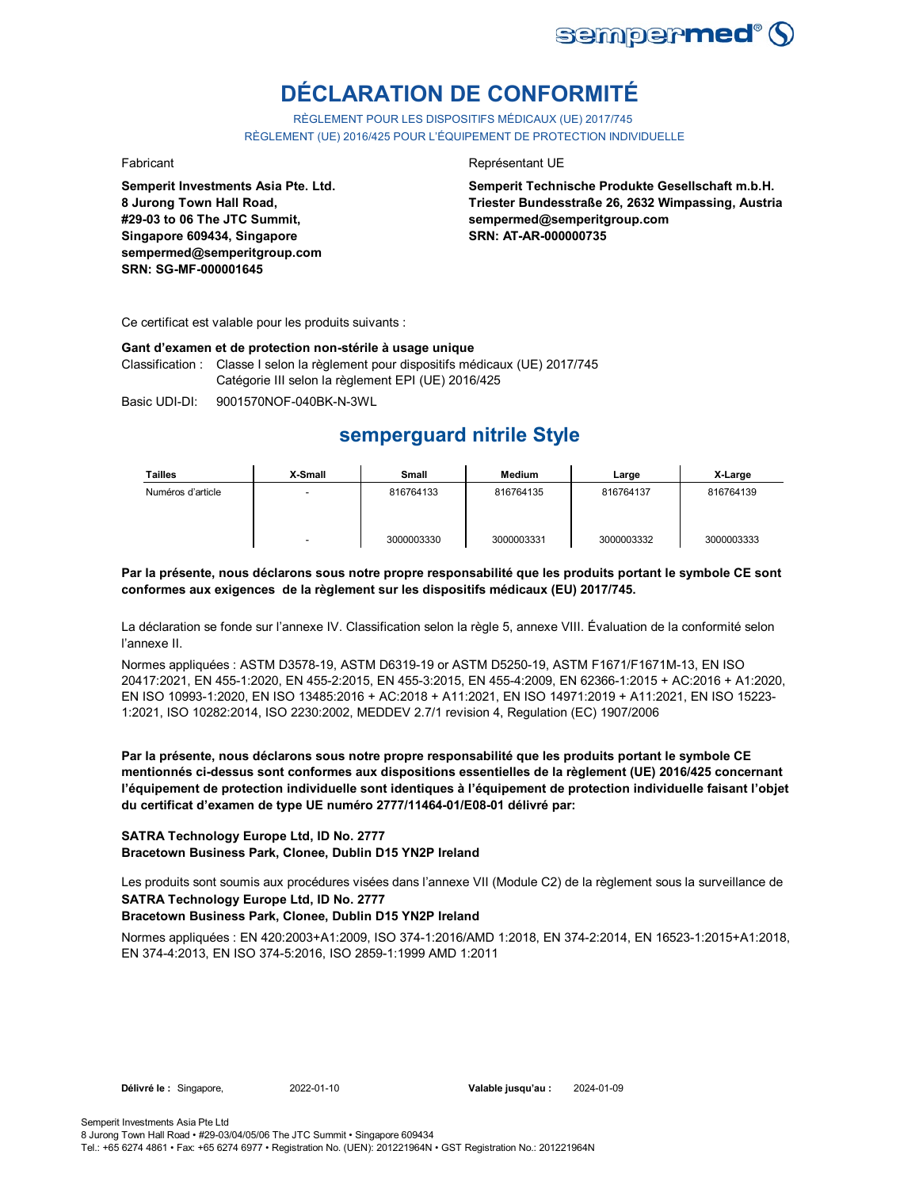

# **DÉCLARATION DE CONFORMITÉ**

RÈGLEMENT POUR LES DISPOSITIFS MÉDICAUX (UE) 2017/745 RÈGLEMENT (UE) 2016/425 POUR L'ÉQUIPEMENT DE PROTECTION INDIVIDUELLE

**Semperit Investments Asia Pte. Ltd. 8 Jurong Town Hall Road, #29-03 to 06 The JTC Summit, Singapore 609434, Singapore sempermed@semperitgroup.com SRN: SG-MF-000001645**

#### Fabricant **Representant UE**

**Semperit Technische Produkte Gesellschaft m.b.H. Triester Bundesstraße 26, 2632 Wimpassing, Austria sempermed@semperitgroup.com SRN: AT-AR-000000735**

Ce certificat est valable pour les produits suivants :

#### **Gant d'examen et de protection non-stérile à usage unique**

Classification : Classe I selon la règlement pour dispositifs médicaux (UE) 2017/745 Catégorie III selon la règlement EPI (UE) 2016/425

Basic UDI-DI: 9001570NOF-040BK-N-3WL

## **semperguard nitrile Style**

| <b>Tailles</b>    | X-Small | Small      | <b>Medium</b> | Large      | X-Large    |
|-------------------|---------|------------|---------------|------------|------------|
| Numéros d'article |         | 816764133  | 816764135     | 816764137  | 816764139  |
|                   |         | 3000003330 | 3000003331    | 3000003332 | 3000003333 |

**Par la présente, nous déclarons sous notre propre responsabilité que les produits portant le symbole CE sont conformes aux exigences de la règlement sur les dispositifs médicaux (EU) 2017/745.**

La déclaration se fonde sur l'annexe IV. Classification selon la règle 5, annexe VIII. Évaluation de la conformité selon l'annexe II.

Normes appliquées : ASTM D3578-19, ASTM D6319-19 or ASTM D5250-19, ASTM F1671/F1671M-13, EN ISO 20417:2021, EN 455-1:2020, EN 455-2:2015, EN 455-3:2015, EN 455-4:2009, EN 62366-1:2015 + AC:2016 + A1:2020, EN ISO 10993-1:2020, EN ISO 13485:2016 + AC:2018 + A11:2021, EN ISO 14971:2019 + A11:2021, EN ISO 15223- 1:2021, ISO 10282:2014, ISO 2230:2002, MEDDEV 2.7/1 revision 4, Regulation (EC) 1907/2006

**Par la présente, nous déclarons sous notre propre responsabilité que les produits portant le symbole CE mentionnés ci-dessus sont conformes aux dispositions essentielles de la règlement (UE) 2016/425 concernant l'équipement de protection individuelle sont identiques à l'équipement de protection individuelle faisant l'objet du certificat d'examen de type UE numéro 2777/11464-01/E08-01 délivré par:**

#### **SATRA Technology Europe Ltd, ID No. 2777 Bracetown Business Park, Clonee, Dublin D15 YN2P Ireland**

Les produits sont soumis aux procédures visées dans l'annexe VII (Module C2) de la règlement sous la surveillance de **SATRA Technology Europe Ltd, ID No. 2777**

### **Bracetown Business Park, Clonee, Dublin D15 YN2P Ireland**

Normes appliquées : EN 420:2003+A1:2009, ISO 374-1:2016/AMD 1:2018, EN 374-2:2014, EN 16523-1:2015+A1:2018, EN 374-4:2013, EN ISO 374-5:2016, ISO 2859-1:1999 AMD 1:2011

**Délivré le :** Singapore, 2022-01-10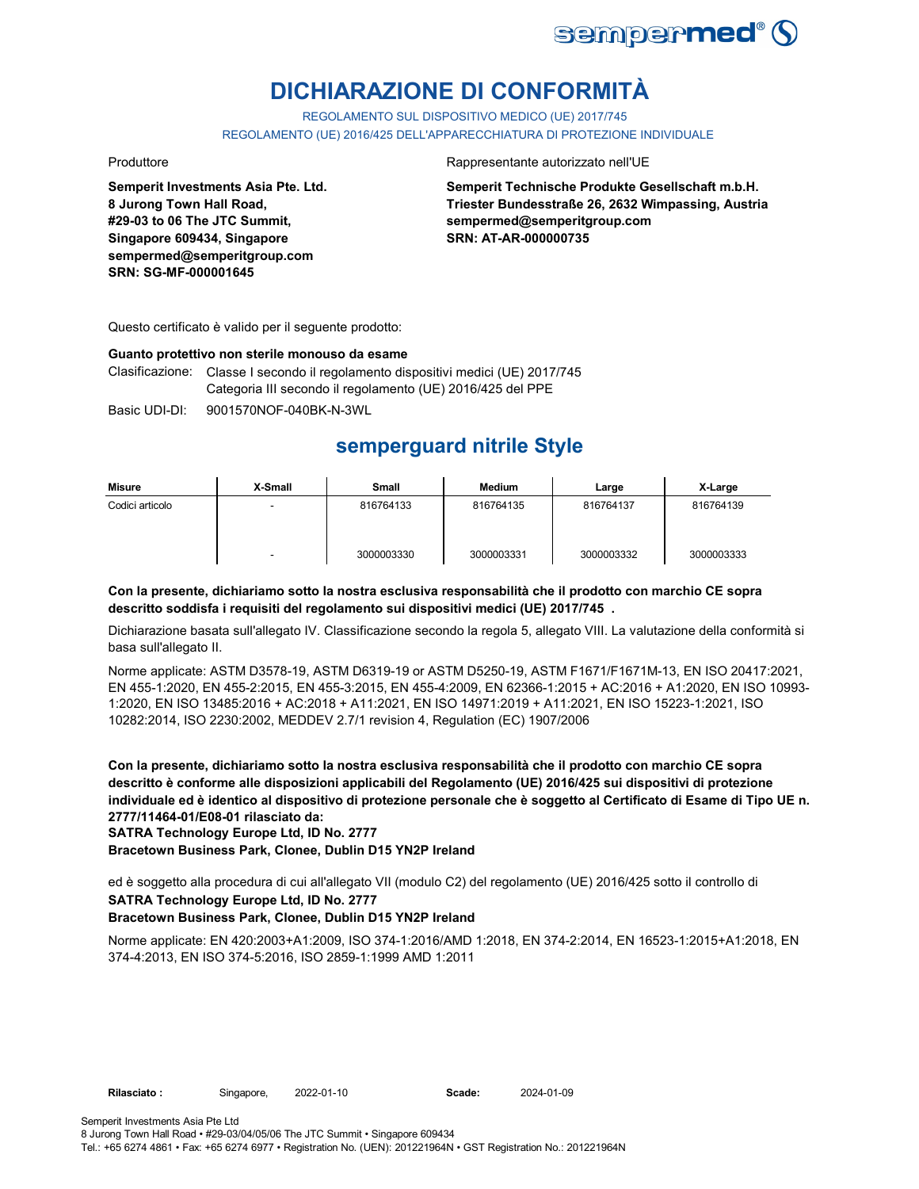

# **DICHIARAZIONE DI CONFORMITÀ**

REGOLAMENTO SUL DISPOSITIVO MEDICO (UE) 2017/745

REGOLAMENTO (UE) 2016/425 DELL'APPARECCHIATURA DI PROTEZIONE INDIVIDUALE

**Semperit Investments Asia Pte. Ltd. 8 Jurong Town Hall Road, #29-03 to 06 The JTC Summit, Singapore 609434, Singapore sempermed@semperitgroup.com SRN: SG-MF-000001645**

#### Produttore Rappresentante autorizzato nell'UE

**Semperit Technische Produkte Gesellschaft m.b.H. Triester Bundesstraße 26, 2632 Wimpassing, Austria sempermed@semperitgroup.com SRN: AT-AR-000000735**

Questo certificato è valido per il seguente prodotto:

#### **Guanto protettivo non sterile monouso da esame**

Clasificazione: Classe I secondo il regolamento dispositivi medici (UE) 2017/745 Categoria III secondo il regolamento (UE) 2016/425 del PPE

Basic UDI-DI: 9001570NOF-040BK-N-3WL

## **semperguard nitrile Style**

| Misure          | X-Small | Small      | Medium     | Large      | X-Large    |
|-----------------|---------|------------|------------|------------|------------|
| Codici articolo | -       | 816764133  | 816764135  | 816764137  | 816764139  |
|                 | -       | 3000003330 | 3000003331 | 3000003332 | 3000003333 |

#### **Con la presente, dichiariamo sotto la nostra esclusiva responsabilità che il prodotto con marchio CE sopra descritto soddisfa i requisiti del regolamento sui dispositivi medici (UE) 2017/745 .**

Dichiarazione basata sull'allegato IV. Classificazione secondo la regola 5, allegato VIII. La valutazione della conformità si basa sull'allegato II.

Norme applicate: ASTM D3578-19, ASTM D6319-19 or ASTM D5250-19, ASTM F1671/F1671M-13, EN ISO 20417:2021, EN 455-1:2020, EN 455-2:2015, EN 455-3:2015, EN 455-4:2009, EN 62366-1:2015 + AC:2016 + A1:2020, EN ISO 10993- 1:2020, EN ISO 13485:2016 + AC:2018 + A11:2021, EN ISO 14971:2019 + A11:2021, EN ISO 15223-1:2021, ISO 10282:2014, ISO 2230:2002, MEDDEV 2.7/1 revision 4, Regulation (EC) 1907/2006

**Con la presente, dichiariamo sotto la nostra esclusiva responsabilità che il prodotto con marchio CE sopra descritto è conforme alle disposizioni applicabili del Regolamento (UE) 2016/425 sui dispositivi di protezione individuale ed è identico al dispositivo di protezione personale che è soggetto al Certificato di Esame di Tipo UE n. 2777/11464-01/E08-01 rilasciato da:**

**SATRA Technology Europe Ltd, ID No. 2777**

**Bracetown Business Park, Clonee, Dublin D15 YN2P Ireland**

ed è soggetto alla procedura di cui all'allegato VII (modulo C2) del regolamento (UE) 2016/425 sotto il controllo di **SATRA Technology Europe Ltd, ID No. 2777**

### **Bracetown Business Park, Clonee, Dublin D15 YN2P Ireland**

Norme applicate: EN 420:2003+A1:2009, ISO 374-1:2016/AMD 1:2018, EN 374-2:2014, EN 16523-1:2015+A1:2018, EN 374-4:2013, EN ISO 374-5:2016, ISO 2859-1:1999 AMD 1:2011

2022-01-10 2024-01-09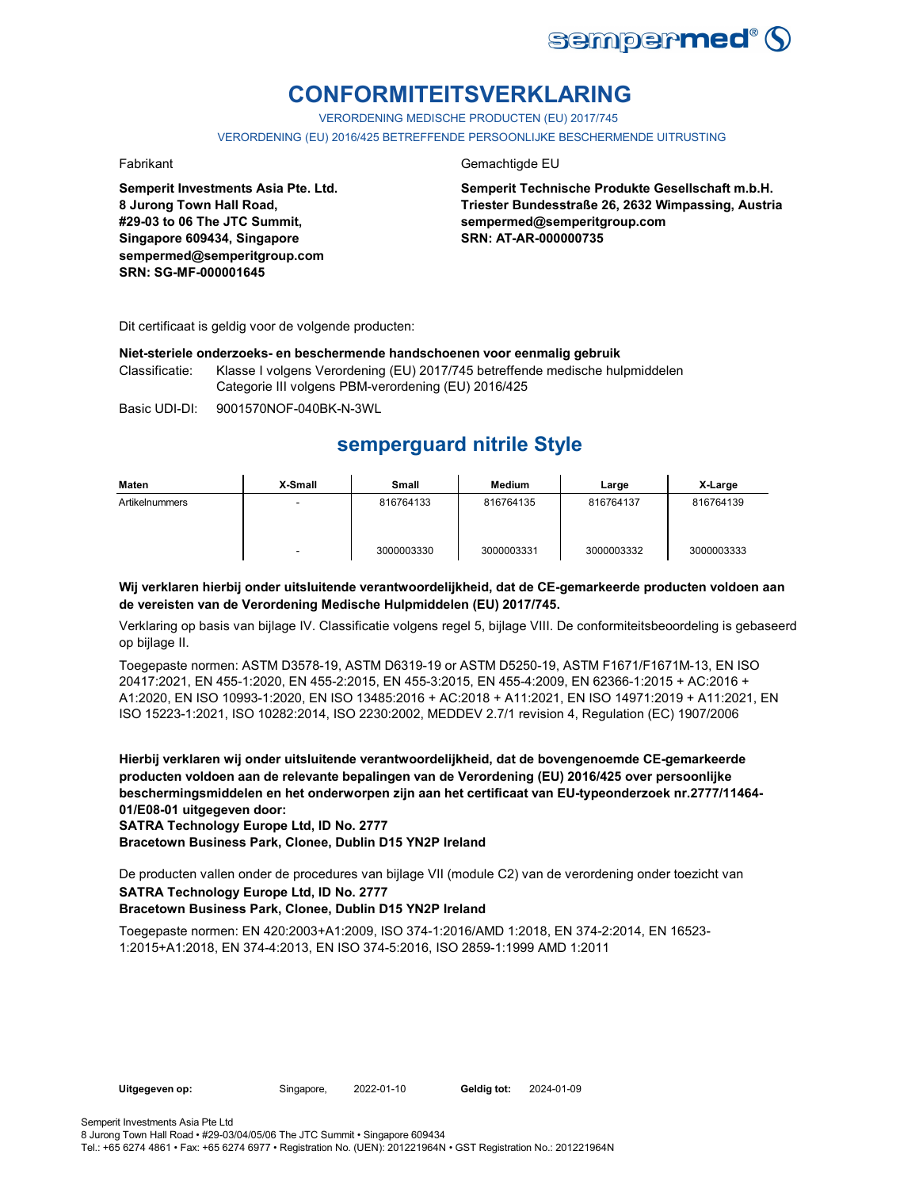

# **CONFORMITEITSVERKLARING**

VERORDENING MEDISCHE PRODUCTEN (EU) 2017/745

VERORDENING (EU) 2016/425 BETREFFENDE PERSOONLIJKE BESCHERMENDE UITRUSTING

**Semperit Investments Asia Pte. Ltd. 8 Jurong Town Hall Road, #29-03 to 06 The JTC Summit, Singapore 609434, Singapore sempermed@semperitgroup.com SRN: SG-MF-000001645**

### Fabrikant Gemachtigde EU

**Semperit Technische Produkte Gesellschaft m.b.H. Triester Bundesstraße 26, 2632 Wimpassing, Austria sempermed@semperitgroup.com SRN: AT-AR-000000735**

Dit certificaat is geldig voor de volgende producten:

#### **Niet-steriele onderzoeks- en beschermende handschoenen voor eenmalig gebruik**

Classificatie: Klasse I volgens Verordening (EU) 2017/745 betreffende medische hulpmiddelen Categorie III volgens PBM-verordening (EU) 2016/425

Basic UDI-DI: 9001570NOF-040BK-N-3WL

## **semperguard nitrile Style**

| Maten          | X-Small | Small      | Medium     | Large      | X-Large    |
|----------------|---------|------------|------------|------------|------------|
| Artikelnummers |         | 816764133  | 816764135  | 816764137  | 816764139  |
|                |         | 3000003330 | 3000003331 | 3000003332 | 3000003333 |

#### **Wij verklaren hierbij onder uitsluitende verantwoordelijkheid, dat de CE-gemarkeerde producten voldoen aan de vereisten van de Verordening Medische Hulpmiddelen (EU) 2017/745.**

Verklaring op basis van bijlage IV. Classificatie volgens regel 5, bijlage VIII. De conformiteitsbeoordeling is gebaseerd op bijlage II.

Toegepaste normen: ASTM D3578-19, ASTM D6319-19 or ASTM D5250-19, ASTM F1671/F1671M-13, EN ISO 20417:2021, EN 455-1:2020, EN 455-2:2015, EN 455-3:2015, EN 455-4:2009, EN 62366-1:2015 + AC:2016 + A1:2020, EN ISO 10993-1:2020, EN ISO 13485:2016 + AC:2018 + A11:2021, EN ISO 14971:2019 + A11:2021, EN ISO 15223-1:2021, ISO 10282:2014, ISO 2230:2002, MEDDEV 2.7/1 revision 4, Regulation (EC) 1907/2006

**Hierbij verklaren wij onder uitsluitende verantwoordelijkheid, dat de bovengenoemde CE-gemarkeerde producten voldoen aan de relevante bepalingen van de Verordening (EU) 2016/425 over persoonlijke beschermingsmiddelen en het onderworpen zijn aan het certificaat van EU-typeonderzoek nr.2777/11464- 01/E08-01 uitgegeven door:**

**SATRA Technology Europe Ltd, ID No. 2777**

**Bracetown Business Park, Clonee, Dublin D15 YN2P Ireland**

De producten vallen onder de procedures van bijlage VII (module C2) van de verordening onder toezicht van **SATRA Technology Europe Ltd, ID No. 2777**

### **Bracetown Business Park, Clonee, Dublin D15 YN2P Ireland**

Toegepaste normen: EN 420:2003+A1:2009, ISO 374-1:2016/AMD 1:2018, EN 374-2:2014, EN 16523- 1:2015+A1:2018, EN 374-4:2013, EN ISO 374-5:2016, ISO 2859-1:1999 AMD 1:2011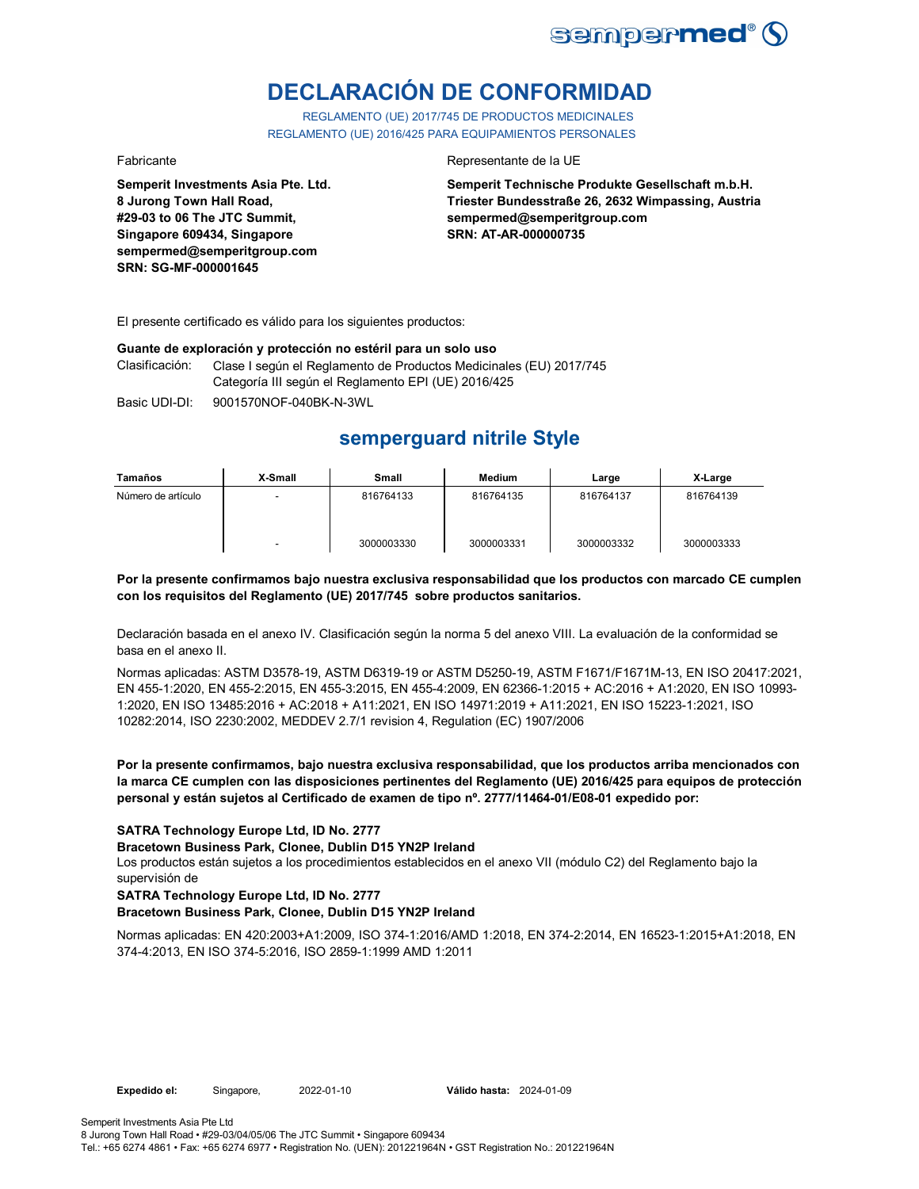

# **DECLARACIÓN DE CONFORMIDAD**

REGLAMENTO (UE) 2017/745 DE PRODUCTOS MEDICINALES REGLAMENTO (UE) 2016/425 PARA EQUIPAMIENTOS PERSONALES

**Semperit Investments Asia Pte. Ltd. 8 Jurong Town Hall Road, #29-03 to 06 The JTC Summit, Singapore 609434, Singapore sempermed@semperitgroup.com SRN: SG-MF-000001645**

#### Fabricante Representante de la UE

**Semperit Technische Produkte Gesellschaft m.b.H. Triester Bundesstraße 26, 2632 Wimpassing, Austria sempermed@semperitgroup.com SRN: AT-AR-000000735**

El presente certificado es válido para los siguientes productos:

#### **Guante de exploración y protección no estéril para un solo uso**

Clasificación: Clase I según el Reglamento de Productos Medicinales (EU) 2017/745 Categoría III según el Reglamento EPI (UE) 2016/425

Basic UDI-DI: 9001570NOF-040BK-N-3WL

# **semperguard nitrile Style**

| Tamaños            | X-Small                  | Small      | Medium     | Large      | X-Large    |
|--------------------|--------------------------|------------|------------|------------|------------|
| Número de artículo | $\overline{\phantom{a}}$ | 816764133  | 816764135  | 816764137  | 816764139  |
|                    | $\overline{\phantom{0}}$ | 3000003330 | 3000003331 | 3000003332 | 3000003333 |

#### **Por la presente confirmamos bajo nuestra exclusiva responsabilidad que los productos con marcado CE cumplen con los requisitos del Reglamento (UE) 2017/745 sobre productos sanitarios.**

Declaración basada en el anexo IV. Clasificación según la norma 5 del anexo VIII. La evaluación de la conformidad se basa en el anexo II.

Normas aplicadas: ASTM D3578-19, ASTM D6319-19 or ASTM D5250-19, ASTM F1671/F1671M-13, EN ISO 20417:2021, EN 455-1:2020, EN 455-2:2015, EN 455-3:2015, EN 455-4:2009, EN 62366-1:2015 + AC:2016 + A1:2020, EN ISO 10993- 1:2020, EN ISO 13485:2016 + AC:2018 + A11:2021, EN ISO 14971:2019 + A11:2021, EN ISO 15223-1:2021, ISO 10282:2014, ISO 2230:2002, MEDDEV 2.7/1 revision 4, Regulation (EC) 1907/2006

#### **Por la presente confirmamos, bajo nuestra exclusiva responsabilidad, que los productos arriba mencionados con la marca CE cumplen con las disposiciones pertinentes del Reglamento (UE) 2016/425 para equipos de protección personal y están sujetos al Certificado de examen de tipo nº. 2777/11464-01/E08-01 expedido por:**

### **SATRA Technology Europe Ltd, ID No. 2777**

#### **Bracetown Business Park, Clonee, Dublin D15 YN2P Ireland**

Los productos están sujetos a los procedimientos establecidos en el anexo VII (módulo C2) del Reglamento bajo la supervisión de

### **SATRA Technology Europe Ltd, ID No. 2777**

#### **Bracetown Business Park, Clonee, Dublin D15 YN2P Ireland**

Normas aplicadas: EN 420:2003+A1:2009, ISO 374-1:2016/AMD 1:2018, EN 374-2:2014, EN 16523-1:2015+A1:2018, EN 374-4:2013, EN ISO 374-5:2016, ISO 2859-1:1999 AMD 1:2011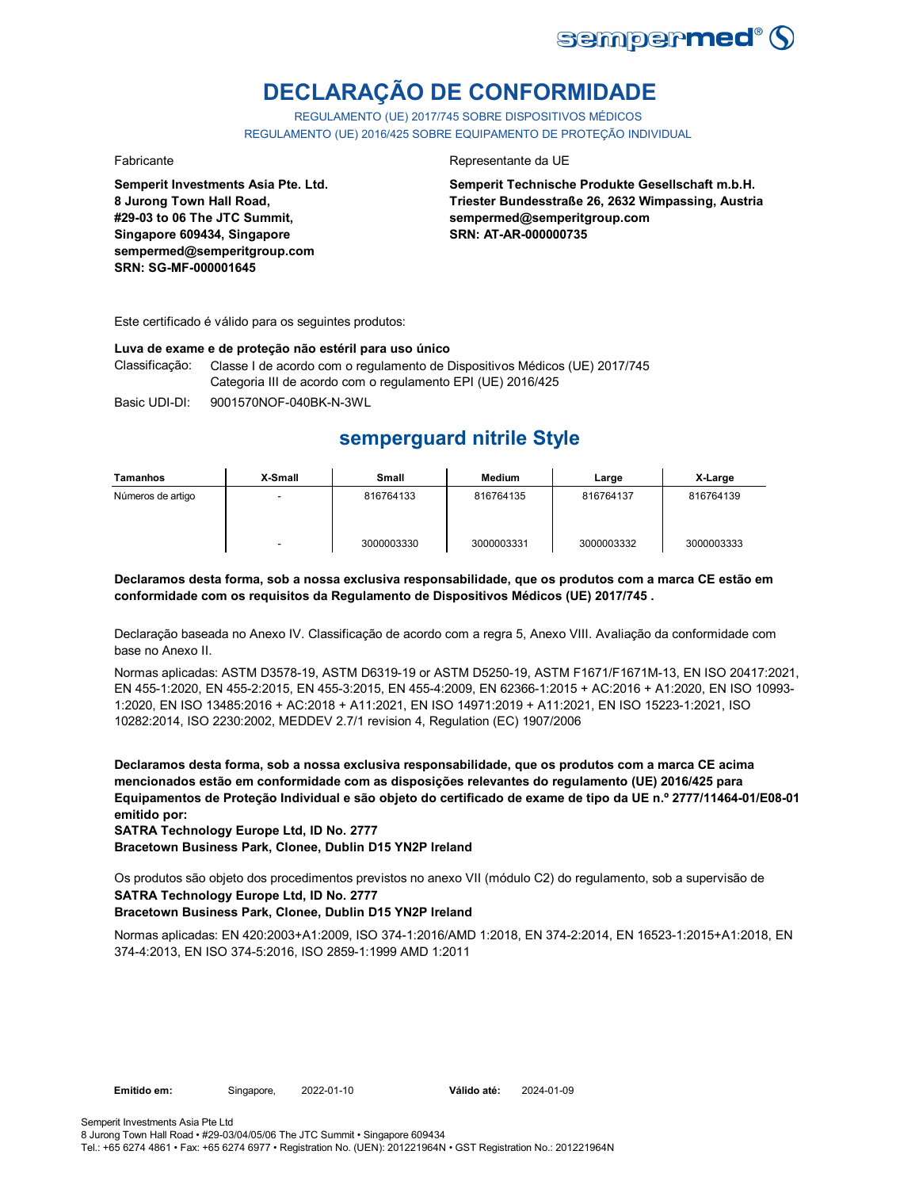

# **DECLARAÇÃO DE CONFORMIDADE**

REGULAMENTO (UE) 2017/745 SOBRE DISPOSITIVOS MÉDICOS REGULAMENTO (UE) 2016/425 SOBRE EQUIPAMENTO DE PROTEÇÃO INDIVIDUAL

**Semperit Investments Asia Pte. Ltd. 8 Jurong Town Hall Road, #29-03 to 06 The JTC Summit, Singapore 609434, Singapore sempermed@semperitgroup.com SRN: SG-MF-000001645**

#### Fabricante Representante da UE

**Semperit Technische Produkte Gesellschaft m.b.H. Triester Bundesstraße 26, 2632 Wimpassing, Austria sempermed@semperitgroup.com SRN: AT-AR-000000735**

Este certificado é válido para os seguintes produtos:

#### **Luva de exame e de proteção não estéril para uso único**

Classificação: Classe I de acordo com o regulamento de Dispositivos Médicos (UE) 2017/745 Categoria III de acordo com o regulamento EPI (UE) 2016/425

Basic UDI-DI: 9001570NOF-040BK-N-3WL

# **semperguard nitrile Style**

| Tamanhos          | X-Small | <b>Small</b> | Medium     | Large      | X-Large    |
|-------------------|---------|--------------|------------|------------|------------|
| Números de artigo |         | 816764133    | 816764135  | 816764137  | 816764139  |
|                   |         | 3000003330   | 3000003331 | 3000003332 | 3000003333 |

**Declaramos desta forma, sob a nossa exclusiva responsabilidade, que os produtos com a marca CE estão em conformidade com os requisitos da Regulamento de Dispositivos Médicos (UE) 2017/745 .**

Declaração baseada no Anexo IV. Classificação de acordo com a regra 5, Anexo VIII. Avaliação da conformidade com base no Anexo II.

Normas aplicadas: ASTM D3578-19, ASTM D6319-19 or ASTM D5250-19, ASTM F1671/F1671M-13, EN ISO 20417:2021, EN 455-1:2020, EN 455-2:2015, EN 455-3:2015, EN 455-4:2009, EN 62366-1:2015 + AC:2016 + A1:2020, EN ISO 10993- 1:2020, EN ISO 13485:2016 + AC:2018 + A11:2021, EN ISO 14971:2019 + A11:2021, EN ISO 15223-1:2021, ISO 10282:2014, ISO 2230:2002, MEDDEV 2.7/1 revision 4, Regulation (EC) 1907/2006

**Declaramos desta forma, sob a nossa exclusiva responsabilidade, que os produtos com a marca CE acima mencionados estão em conformidade com as disposições relevantes do regulamento (UE) 2016/425 para Equipamentos de Proteção Individual e são objeto do certificado de exame de tipo da UE n.º 2777/11464-01/E08-01 emitido por:**

**SATRA Technology Europe Ltd, ID No. 2777**

**Bracetown Business Park, Clonee, Dublin D15 YN2P Ireland**

Os produtos são objeto dos procedimentos previstos no anexo VII (módulo C2) do regulamento, sob a supervisão de **SATRA Technology Europe Ltd, ID No. 2777**

### **Bracetown Business Park, Clonee, Dublin D15 YN2P Ireland**

Normas aplicadas: EN 420:2003+A1:2009, ISO 374-1:2016/AMD 1:2018, EN 374-2:2014, EN 16523-1:2015+A1:2018, EN 374-4:2013, EN ISO 374-5:2016, ISO 2859-1:1999 AMD 1:2011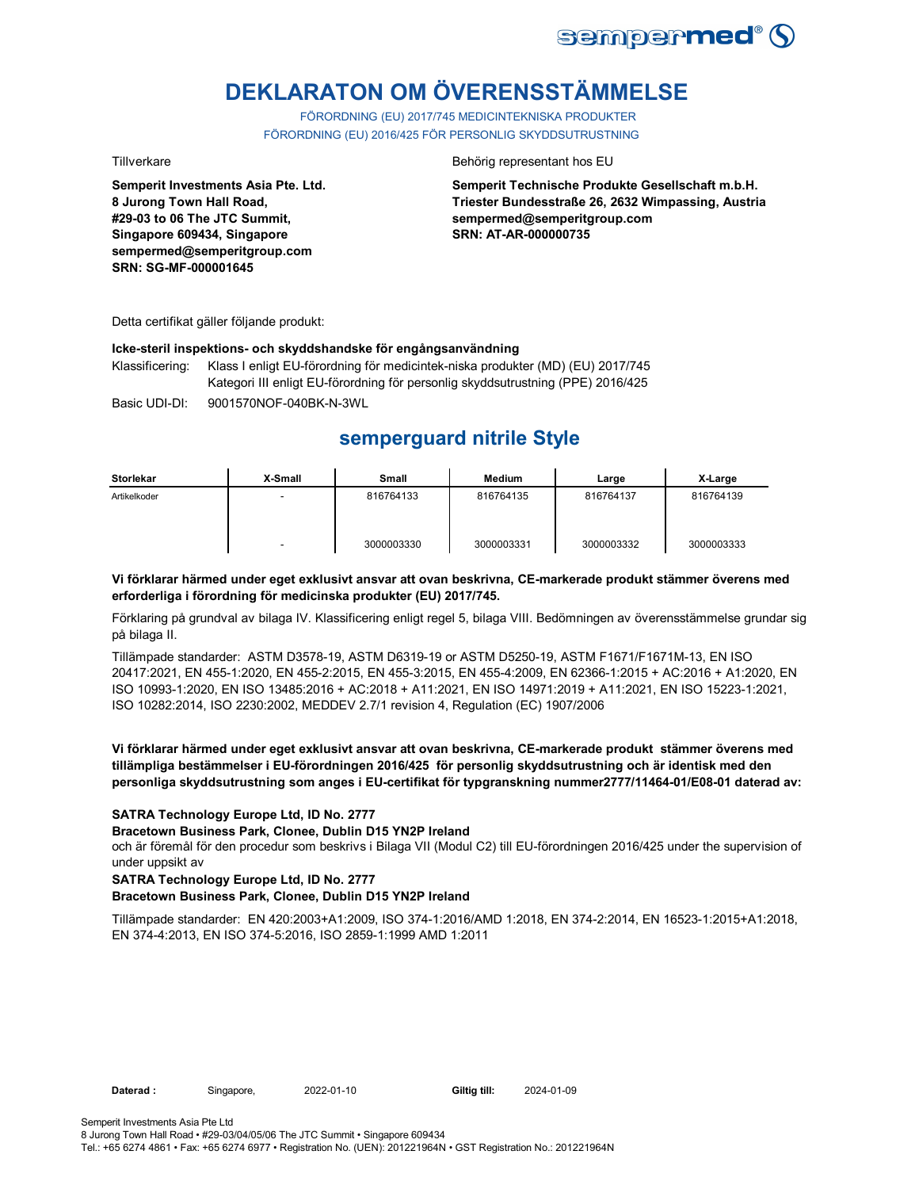

# **DEKLARATON OM ÖVERENSSTÄMMELSE**

FÖRORDNING (EU) 2017/745 MEDICINTEKNISKA PRODUKTER FÖRORDNING (EU) 2016/425 FÖR PERSONLIG SKYDDSUTRUSTNING

**Semperit Investments Asia Pte. Ltd. 8 Jurong Town Hall Road, #29-03 to 06 The JTC Summit, Singapore 609434, Singapore sempermed@semperitgroup.com SRN: SG-MF-000001645**

#### Tillverkare Behörig representant hos EU

**Semperit Technische Produkte Gesellschaft m.b.H. Triester Bundesstraße 26, 2632 Wimpassing, Austria sempermed@semperitgroup.com SRN: AT-AR-000000735**

Detta certifikat gäller följande produkt:

#### **Icke-steril inspektions- och skyddshandske för engångsanvändning**

Klassificering: Klass I enligt EU-förordning för medicintek-niska produkter (MD) (EU) 2017/745 Kategori III enligt EU-förordning för personlig skyddsutrustning (PPE) 2016/425

Basic UDI-DI: 9001570NOF-040BK-N-3WL 9001570NOF-040BK-N-3W

# **semperguard nitrile Style**

| <b>Storlekar</b> | X-Small | Small      | Medium     | Large      | X-Large    |
|------------------|---------|------------|------------|------------|------------|
| Artikelkoder     | -       | 816764133  | 816764135  | 816764137  | 816764139  |
|                  | -       | 3000003330 | 3000003331 | 3000003332 | 3000003333 |

#### **Vi förklarar härmed under eget exklusivt ansvar att ovan beskrivna, CE-markerade produkt stämmer överens med erforderliga i förordning för medicinska produkter (EU) 2017/745.**

Förklaring på grundval av bilaga IV. Klassificering enligt regel 5, bilaga VIII. Bedömningen av överensstämmelse grundar sig på bilaga II.

Tillämpade standarder: ASTM D3578-19, ASTM D6319-19 or ASTM D5250-19, ASTM F1671/F1671M-13, EN ISO 20417:2021, EN 455-1:2020, EN 455-2:2015, EN 455-3:2015, EN 455-4:2009, EN 62366-1:2015 + AC:2016 + A1:2020, EN ISO 10993-1:2020, EN ISO 13485:2016 + AC:2018 + A11:2021, EN ISO 14971:2019 + A11:2021, EN ISO 15223-1:2021, ISO 10282:2014, ISO 2230:2002, MEDDEV 2.7/1 revision 4, Regulation (EC) 1907/2006

#### **Vi förklarar härmed under eget exklusivt ansvar att ovan beskrivna, CE-markerade produkt stämmer överens med tillämpliga bestämmelser i EU-förordningen 2016/425 för personlig skyddsutrustning och är identisk med den personliga skyddsutrustning som anges i EU-certifikat för typgranskning nummer2777/11464-01/E08-01 daterad av:**

### **SATRA Technology Europe Ltd, ID No. 2777**

**Bracetown Business Park, Clonee, Dublin D15 YN2P Ireland**

och är föremål för den procedur som beskrivs i Bilaga VII (Modul C2) till EU-förordningen 2016/425 under the supervision of under uppsikt av

#### **SATRA Technology Europe Ltd, ID No. 2777**

### **Bracetown Business Park, Clonee, Dublin D15 YN2P Ireland**

Tillämpade standarder: EN 420:2003+A1:2009, ISO 374-1:2016/AMD 1:2018, EN 374-2:2014, EN 16523-1:2015+A1:2018, EN 374-4:2013, EN ISO 374-5:2016, ISO 2859-1:1999 AMD 1:2011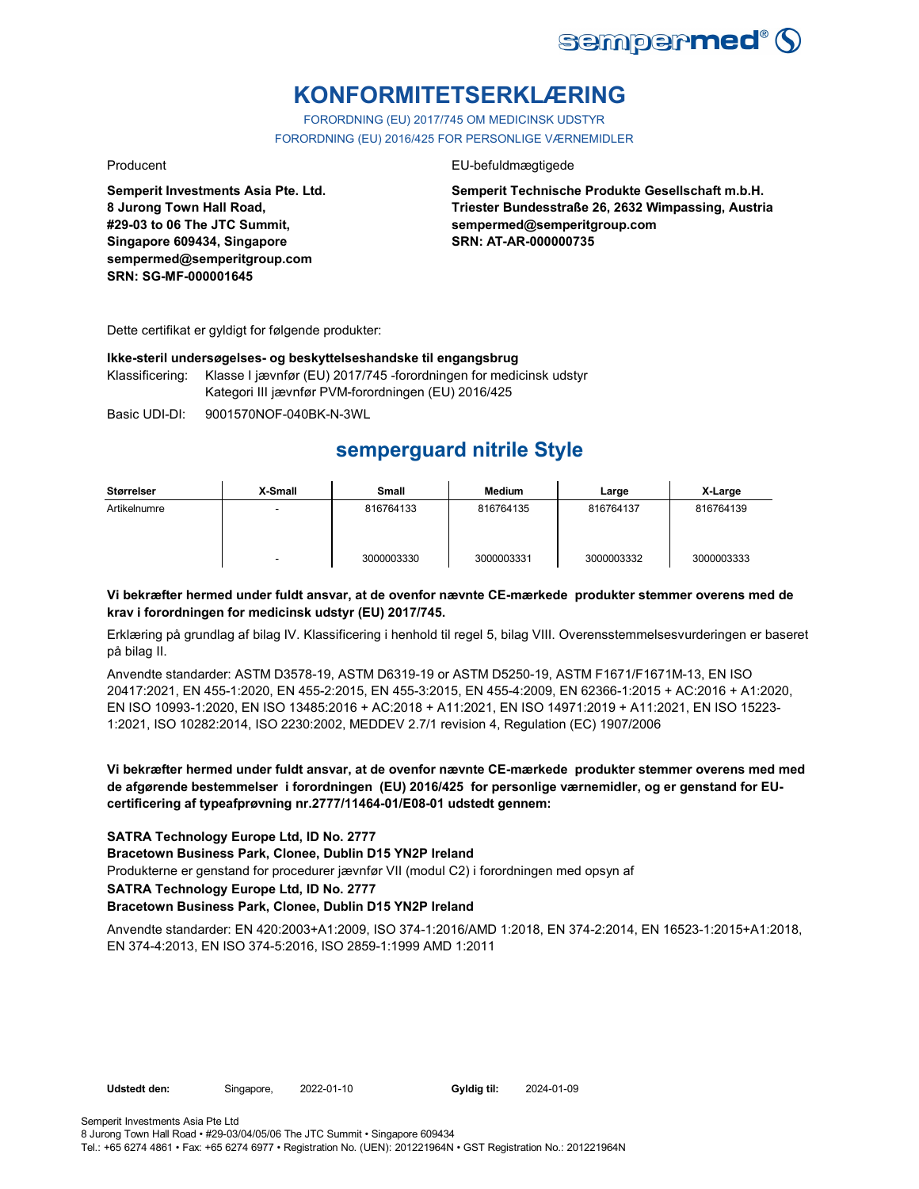

# **KONFORMITETSERKLÆRING**

FORORDNING (EU) 2017/745 OM MEDICINSK UDSTYR FORORDNING (EU) 2016/425 FOR PERSONLIGE VÆRNEMIDLER

**Semperit Investments Asia Pte. Ltd. 8 Jurong Town Hall Road, #29-03 to 06 The JTC Summit, Singapore 609434, Singapore sempermed@semperitgroup.com SRN: SG-MF-000001645**

#### Producent EU-befuldmægtigede

**Semperit Technische Produkte Gesellschaft m.b.H. Triester Bundesstraße 26, 2632 Wimpassing, Austria sempermed@semperitgroup.com SRN: AT-AR-000000735**

Dette certifikat er gyldigt for følgende produkter:

#### **Ikke-steril undersøgelses- og beskyttelseshandske til engangsbrug**

Klassificering: Klasse I jævnfør (EU) 2017/745 -forordningen for medicinsk udstyr Kategori III jævnfør PVM-forordningen (EU) 2016/425

Basic UDI-DI: 9001570NOF-040BK-N-3WL

# **semperguard nitrile Style**

| Størrelser   | X-Small | Small      | Medium     | Large      | X-Large    |
|--------------|---------|------------|------------|------------|------------|
| Artikelnumre | -       | 816764133  | 816764135  | 816764137  | 816764139  |
|              | -       | 3000003330 | 3000003331 | 3000003332 | 3000003333 |

### **Vi bekræfter hermed under fuldt ansvar, at de ovenfor nævnte CE-mærkede produkter stemmer overens med de krav i forordningen for medicinsk udstyr (EU) 2017/745.**

Erklæring på grundlag af bilag IV. Klassificering i henhold til regel 5, bilag VIII. Overensstemmelsesvurderingen er baseret på bilag II.

Anvendte standarder: ASTM D3578-19, ASTM D6319-19 or ASTM D5250-19, ASTM F1671/F1671M-13, EN ISO 20417:2021, EN 455-1:2020, EN 455-2:2015, EN 455-3:2015, EN 455-4:2009, EN 62366-1:2015 + AC:2016 + A1:2020, EN ISO 10993-1:2020, EN ISO 13485:2016 + AC:2018 + A11:2021, EN ISO 14971:2019 + A11:2021, EN ISO 15223- 1:2021, ISO 10282:2014, ISO 2230:2002, MEDDEV 2.7/1 revision 4, Regulation (EC) 1907/2006

### **Vi bekræfter hermed under fuldt ansvar, at de ovenfor nævnte CE-mærkede produkter stemmer overens med med de afgørende bestemmelser i forordningen (EU) 2016/425 for personlige værnemidler, og er genstand for EUcertificering af typeafprøvning nr.2777/11464-01/E08-01 udstedt gennem:**

### **SATRA Technology Europe Ltd, ID No. 2777**

#### **Bracetown Business Park, Clonee, Dublin D15 YN2P Ireland**

Produkterne er genstand for procedurer jævnfør VII (modul C2) i forordningen med opsyn af

**SATRA Technology Europe Ltd, ID No. 2777**

### **Bracetown Business Park, Clonee, Dublin D15 YN2P Ireland**

Anvendte standarder: EN 420:2003+A1:2009, ISO 374-1:2016/AMD 1:2018, EN 374-2:2014, EN 16523-1:2015+A1:2018, EN 374-4:2013, EN ISO 374-5:2016, ISO 2859-1:1999 AMD 1:2011

Gyldig til: 2024-01-09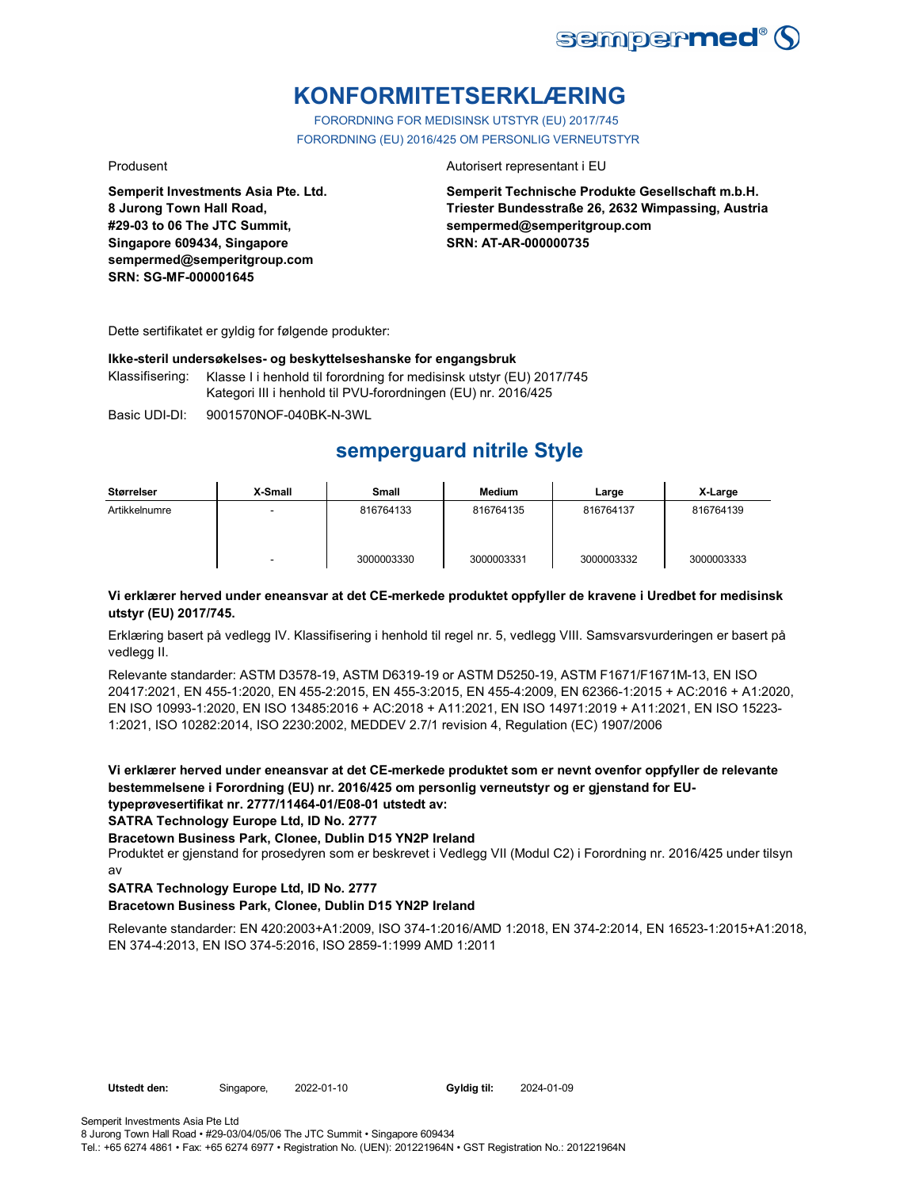

# **KONFORMITETSERKLÆRING**

FORORDNING FOR MEDISINSK UTSTYR (EU) 2017/745 FORORDNING (EU) 2016/425 OM PERSONLIG VERNEUTSTYR

**Semperit Investments Asia Pte. Ltd. 8 Jurong Town Hall Road, #29-03 to 06 The JTC Summit, Singapore 609434, Singapore sempermed@semperitgroup.com SRN: SG-MF-000001645**

#### Produsent **Autorisert representant i EU**

**Semperit Technische Produkte Gesellschaft m.b.H. Triester Bundesstraße 26, 2632 Wimpassing, Austria sempermed@semperitgroup.com SRN: AT-AR-000000735**

Dette sertifikatet er gyldig for følgende produkter:

#### **Ikke-steril undersøkelses- og beskyttelseshanske for engangsbruk**

Klassifisering: Klasse I i henhold til forordning for medisinsk utstyr (EU) 2017/745 Kategori III i henhold til PVU-forordningen (EU) nr. 2016/425

Basic UDI-DI: 9001570NOF-040BK-N-3WL

# **semperguard nitrile Style**

| <b>Størrelser</b> | X-Small                  | Small      | Medium     | Large      | X-Large    |
|-------------------|--------------------------|------------|------------|------------|------------|
| Artikkelnumre     | $\overline{\phantom{0}}$ | 816764133  | 816764135  | 816764137  | 816764139  |
|                   | $\overline{\phantom{0}}$ | 3000003330 | 3000003331 | 3000003332 | 3000003333 |

### **Vi erklærer herved under eneansvar at det CE-merkede produktet oppfyller de kravene i Uredbet for medisinsk utstyr (EU) 2017/745.**

Erklæring basert på vedlegg IV. Klassifisering i henhold til regel nr. 5, vedlegg VIII. Samsvarsvurderingen er basert på vedlegg II.

Relevante standarder: ASTM D3578-19, ASTM D6319-19 or ASTM D5250-19, ASTM F1671/F1671M-13, EN ISO 20417:2021, EN 455-1:2020, EN 455-2:2015, EN 455-3:2015, EN 455-4:2009, EN 62366-1:2015 + AC:2016 + A1:2020, EN ISO 10993-1:2020, EN ISO 13485:2016 + AC:2018 + A11:2021, EN ISO 14971:2019 + A11:2021, EN ISO 15223- 1:2021, ISO 10282:2014, ISO 2230:2002, MEDDEV 2.7/1 revision 4, Regulation (EC) 1907/2006

**Vi erklærer herved under eneansvar at det CE-merkede produktet som er nevnt ovenfor oppfyller de relevante bestemmelsene i Forordning (EU) nr. 2016/425 om personlig verneutstyr og er gjenstand for EUtypeprøvesertifikat nr. 2777/11464-01/E08-01 utstedt av:**

**SATRA Technology Europe Ltd, ID No. 2777**

**Bracetown Business Park, Clonee, Dublin D15 YN2P Ireland**

Produktet er gjenstand for prosedyren som er beskrevet i Vedlegg VII (Modul C2) i Forordning nr. 2016/425 under tilsyn av

### **SATRA Technology Europe Ltd, ID No. 2777**

### **Bracetown Business Park, Clonee, Dublin D15 YN2P Ireland**

Relevante standarder: EN 420:2003+A1:2009, ISO 374-1:2016/AMD 1:2018, EN 374-2:2014, EN 16523-1:2015+A1:2018, EN 374-4:2013, EN ISO 374-5:2016, ISO 2859-1:1999 AMD 1:2011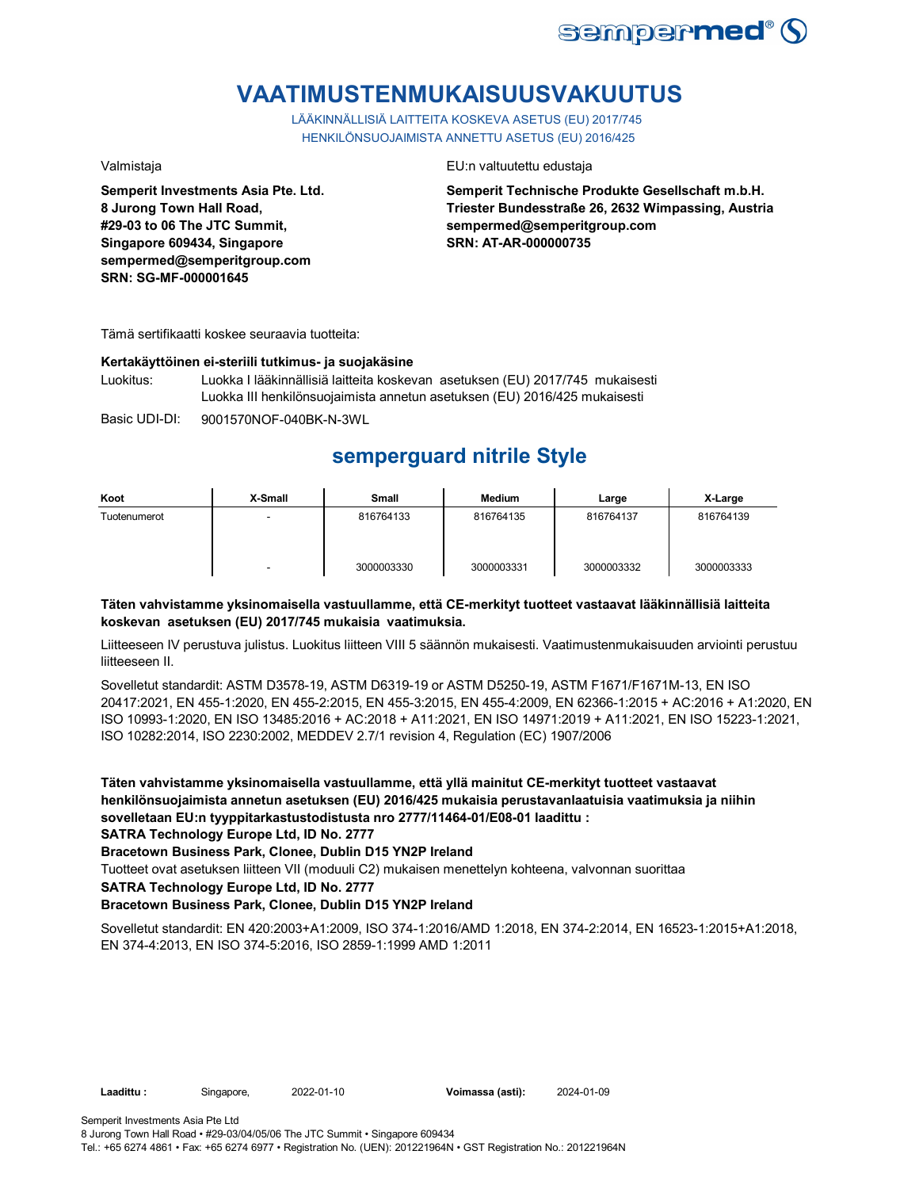

# **VAATIMUSTENMUKAISUUSVAKUUTUS**

LÄÄKINNÄLLISIÄ LAITTEITA KOSKEVA ASETUS (EU) 2017/745 HENKILÖNSUOJAIMISTA ANNETTU ASETUS (EU) 2016/425

**Semperit Investments Asia Pte. Ltd. 8 Jurong Town Hall Road, #29-03 to 06 The JTC Summit, Singapore 609434, Singapore sempermed@semperitgroup.com SRN: SG-MF-000001645**

#### Valmistaja EU:n valtuutettu edustaja

**Semperit Technische Produkte Gesellschaft m.b.H. Triester Bundesstraße 26, 2632 Wimpassing, Austria sempermed@semperitgroup.com SRN: AT-AR-000000735**

Tämä sertifikaatti koskee seuraavia tuotteita:

#### **Kertakäyttöinen ei-steriili tutkimus- ja suojakäsine**

Luokitus: Luokka I lääkinnällisiä laitteita koskevan asetuksen (EU) 2017/745 mukaisesti Luokka III henkilönsuojaimista annetun asetuksen (EU) 2016/425 mukaisesti

Basic UDI-DI: 9001570NOF-040BK-N-3WL

# **semperguard nitrile Style**

| Koot         | X-Small | Small      | <b>Medium</b> | Large      | X-Large    |
|--------------|---------|------------|---------------|------------|------------|
| Tuotenumerot | -       | 816764133  | 816764135     | 816764137  | 816764139  |
|              | -       | 3000003330 | 3000003331    | 3000003332 | 3000003333 |

### **Täten vahvistamme yksinomaisella vastuullamme, että CE-merkityt tuotteet vastaavat lääkinnällisiä laitteita koskevan asetuksen (EU) 2017/745 mukaisia vaatimuksia.**

Liitteeseen IV perustuva julistus. Luokitus liitteen VIII 5 säännön mukaisesti. Vaatimustenmukaisuuden arviointi perustuu liitteeseen II.

Sovelletut standardit: ASTM D3578-19, ASTM D6319-19 or ASTM D5250-19, ASTM F1671/F1671M-13, EN ISO 20417:2021, EN 455-1:2020, EN 455-2:2015, EN 455-3:2015, EN 455-4:2009, EN 62366-1:2015 + AC:2016 + A1:2020, EN ISO 10993-1:2020, EN ISO 13485:2016 + AC:2018 + A11:2021, EN ISO 14971:2019 + A11:2021, EN ISO 15223-1:2021, ISO 10282:2014, ISO 2230:2002, MEDDEV 2.7/1 revision 4, Regulation (EC) 1907/2006

**Täten vahvistamme yksinomaisella vastuullamme, että yllä mainitut CE-merkityt tuotteet vastaavat henkilönsuojaimista annetun asetuksen (EU) 2016/425 mukaisia perustavanlaatuisia vaatimuksia ja niihin sovelletaan EU:n tyyppitarkastustodistusta nro 2777/11464-01/E08-01 laadittu :**

**SATRA Technology Europe Ltd, ID No. 2777**

**Bracetown Business Park, Clonee, Dublin D15 YN2P Ireland**

Tuotteet ovat asetuksen liitteen VII (moduuli C2) mukaisen menettelyn kohteena, valvonnan suorittaa

**SATRA Technology Europe Ltd, ID No. 2777**

### **Bracetown Business Park, Clonee, Dublin D15 YN2P Ireland**

Sovelletut standardit: EN 420:2003+A1:2009, ISO 374-1:2016/AMD 1:2018, EN 374-2:2014, EN 16523-1:2015+A1:2018, EN 374-4:2013, EN ISO 374-5:2016, ISO 2859-1:1999 AMD 1:2011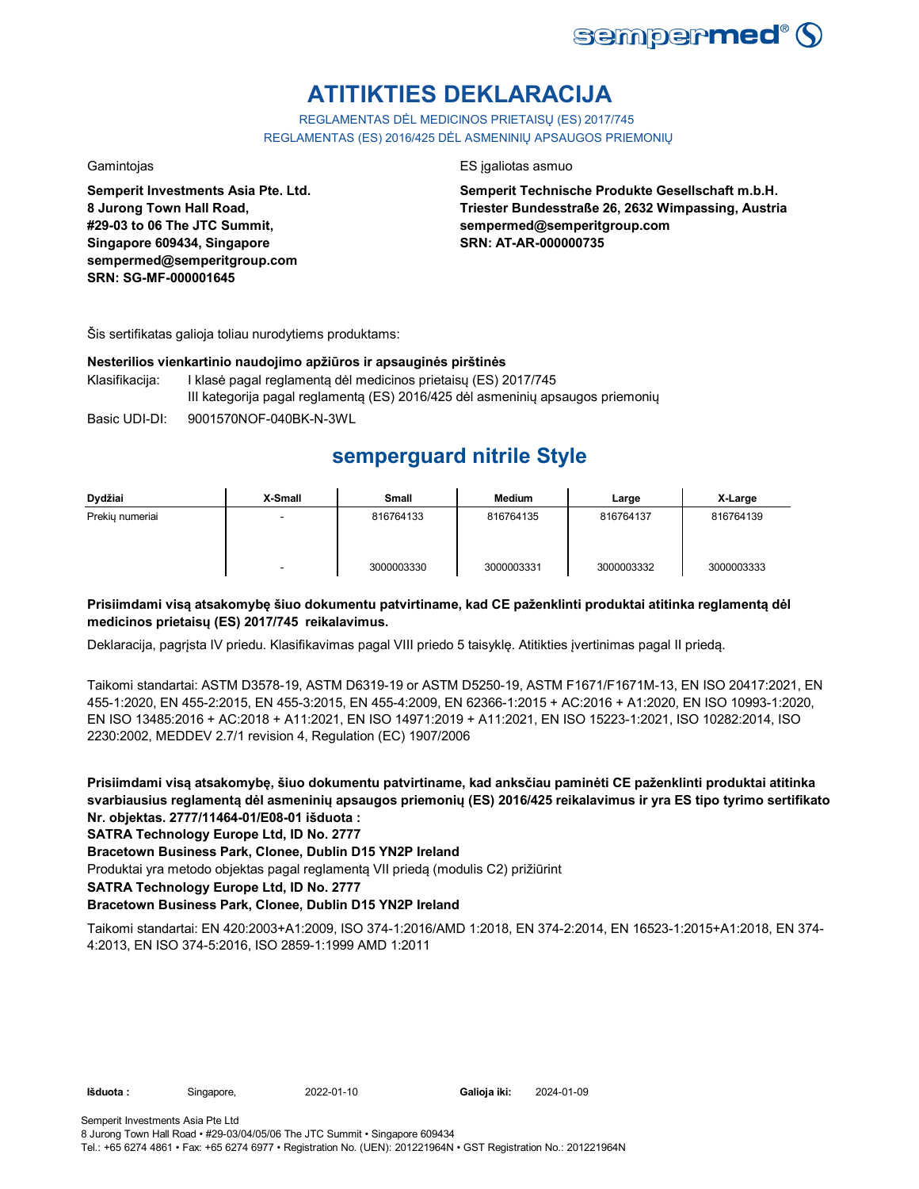

# **ATITIKTIES DEKLARACIJA**

REGLAMENTAS DĖL MEDICINOS PRIETAISŲ (ES) 2017/745 REGLAMENTAS (ES) 2016/425 DĖL ASMENINIŲ APSAUGOS PRIEMONIŲ

**Semperit Investments Asia Pte. Ltd. 8 Jurong Town Hall Road, #29-03 to 06 The JTC Summit, Singapore 609434, Singapore sempermed@semperitgroup.com SRN: SG-MF-000001645**

### Gamintojas ES įgaliotas asmuo

**Semperit Technische Produkte Gesellschaft m.b.H. Triester Bundesstraße 26, 2632 Wimpassing, Austria sempermed@semperitgroup.com SRN: AT-AR-000000735**

Šis sertifikatas galioja toliau nurodytiems produktams:

#### **Nesterilios vienkartinio naudojimo apžiūros ir apsauginės pirštinės**

- Klasifikacija: I klasė pagal reglamentą dėl medicinos prietaisų (ES) 2017/745 III kategorija pagal reglamentą (ES) 2016/425 dėl asmeninių apsaugos priemonių
- Basic UDI-DI: 9001570NOF-040BK-N-3WL

# **semperguard nitrile Style**

| Dydžiai         | X-Small | <b>Small</b> | <b>Medium</b> | Large      | X-Large    |
|-----------------|---------|--------------|---------------|------------|------------|
| Prekiu numeriai |         | 816764133    | 816764135     | 816764137  | 816764139  |
|                 | -       | 3000003330   | 3000003331    | 3000003332 | 3000003333 |

### **Prisiimdami visą atsakomybę šiuo dokumentu patvirtiname, kad CE paženklinti produktai atitinka reglamentą dėl medicinos prietaisų (ES) 2017/745 reikalavimus.**

Deklaracija, pagrįsta IV priedu. Klasifikavimas pagal VIII priedo 5 taisyklę. Atitikties įvertinimas pagal II priedą.

Taikomi standartai: ASTM D3578-19, ASTM D6319-19 or ASTM D5250-19, ASTM F1671/F1671M-13, EN ISO 20417:2021, EN 455-1:2020, EN 455-2:2015, EN 455-3:2015, EN 455-4:2009, EN 62366-1:2015 + AC:2016 + A1:2020, EN ISO 10993-1:2020, EN ISO 13485:2016 + AC:2018 + A11:2021, EN ISO 14971:2019 + A11:2021, EN ISO 15223-1:2021, ISO 10282:2014, ISO 2230:2002, MEDDEV 2.7/1 revision 4, Regulation (EC) 1907/2006

**Prisiimdami visą atsakomybę, šiuo dokumentu patvirtiname, kad anksčiau paminėti CE paženklinti produktai atitinka svarbiausius reglamentą dėl asmeninių apsaugos priemonių (ES) 2016/425 reikalavimus ir yra ES tipo tyrimo sertifikato Nr. objektas. 2777/11464-01/E08-01 išduota :**

### **SATRA Technology Europe Ltd, ID No. 2777**

**Bracetown Business Park, Clonee, Dublin D15 YN2P Ireland**

Produktai yra metodo objektas pagal reglamentą VII priedą (modulis C2) prižiūrint

**SATRA Technology Europe Ltd, ID No. 2777**

### **Bracetown Business Park, Clonee, Dublin D15 YN2P Ireland**

Taikomi standartai: EN 420:2003+A1:2009, ISO 374-1:2016/AMD 1:2018, EN 374-2:2014, EN 16523-1:2015+A1:2018, EN 374- 4:2013, EN ISO 374-5:2016, ISO 2859-1:1999 AMD 1:2011

**Išduota :** Singapore, **Galioja iki:** 2022-01-10 2024-01-09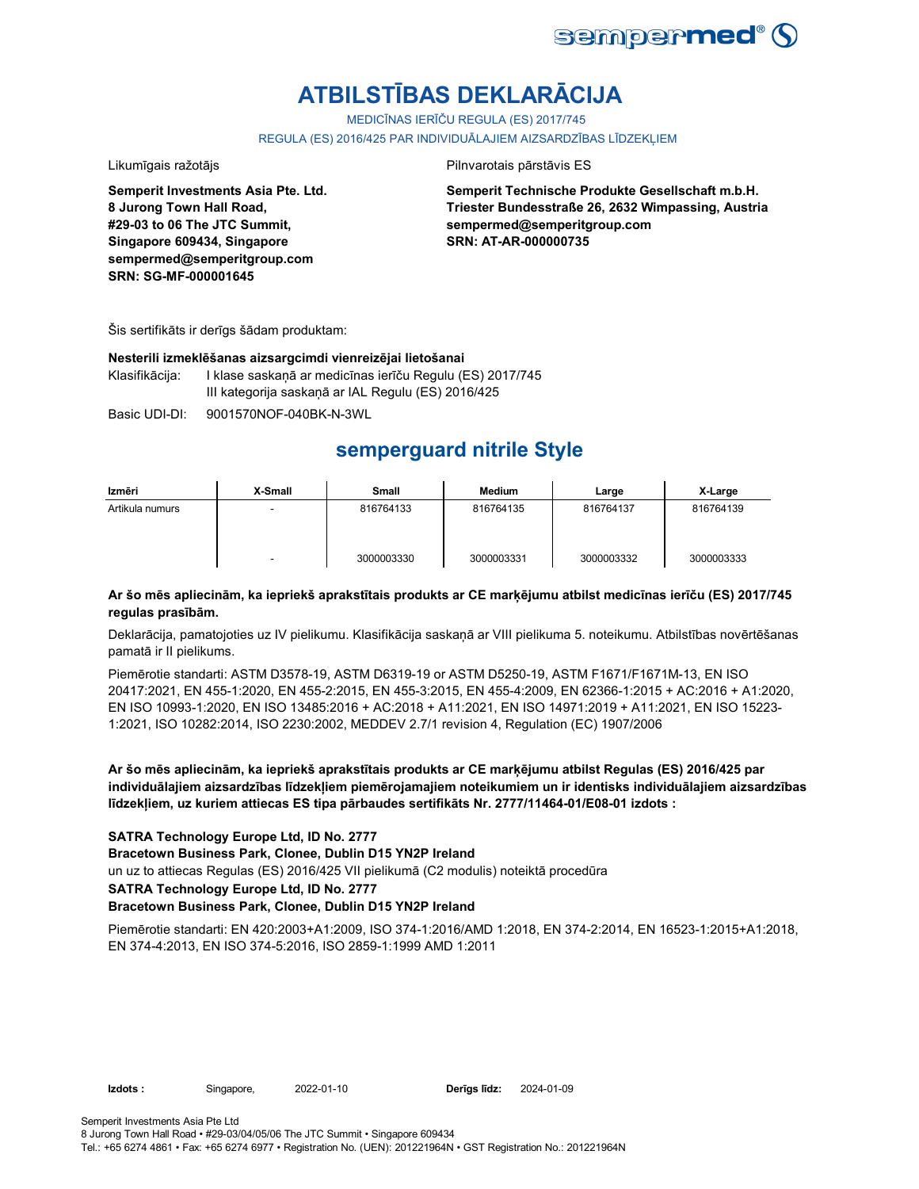

# **ATBILSTĪBAS DEKLARĀCIJA**

MEDICĪNAS IERĪČU REGULA (ES) 2017/745

REGULA (ES) 2016/425 PAR INDIVIDUĀLAJIEM AIZSARDZĪBAS LĪDZEKLIEM

Likumīgais ražotājs **Pilnvarotais pārstāvis ES** 

**Semperit Investments Asia Pte. Ltd. 8 Jurong Town Hall Road, #29-03 to 06 The JTC Summit, Singapore 609434, Singapore sempermed@semperitgroup.com SRN: SG-MF-000001645**

**Semperit Technische Produkte Gesellschaft m.b.H. Triester Bundesstraße 26, 2632 Wimpassing, Austria sempermed@semperitgroup.com SRN: AT-AR-000000735**

Šis sertifikāts ir derīgs šādam produktam:

#### **Nesterili izmeklēšanas aizsargcimdi vienreizējai lietošanai**

Klasifikācija: I klase saskaņā ar medicīnas ierīču Regulu (ES) 2017/745 III kategorija saskaņā ar IAL Regulu (ES) 2016/425

Basic UDI-DI: 9001570NOF-040BK-N-3WL

# **semperguard nitrile Style**

| Izmēri          | X-Small | Small      | Medium     | Large      | X-Large    |
|-----------------|---------|------------|------------|------------|------------|
| Artikula numurs |         | 816764133  | 816764135  | 816764137  | 816764139  |
|                 |         | 3000003330 | 3000003331 | 3000003332 | 3000003333 |

### **Ar šo mēs apliecinām, ka iepriekš aprakstītais produkts ar CE marķējumu atbilst medicīnas ierīču (ES) 2017/745 regulas prasībām.**

Deklarācija, pamatojoties uz IV pielikumu. Klasifikācija saskaņā ar VIII pielikuma 5. noteikumu. Atbilstības novērtēšanas pamatā ir II pielikums.

Piemērotie standarti: ASTM D3578-19, ASTM D6319-19 or ASTM D5250-19, ASTM F1671/F1671M-13, EN ISO 20417:2021, EN 455-1:2020, EN 455-2:2015, EN 455-3:2015, EN 455-4:2009, EN 62366-1:2015 + AC:2016 + A1:2020, EN ISO 10993-1:2020, EN ISO 13485:2016 + AC:2018 + A11:2021, EN ISO 14971:2019 + A11:2021, EN ISO 15223- 1:2021, ISO 10282:2014, ISO 2230:2002, MEDDEV 2.7/1 revision 4, Regulation (EC) 1907/2006

**Ar šo mēs apliecinām, ka iepriekš aprakstītais produkts ar CE marķējumu atbilst Regulas (ES) 2016/425 par individuālajiem aizsardzības līdzekļiem piemērojamajiem noteikumiem un ir identisks individuālajiem aizsardzības līdzekļiem, uz kuriem attiecas ES tipa pārbaudes sertifikāts Nr. 2777/11464-01/E08-01 izdots :**

### **SATRA Technology Europe Ltd, ID No. 2777**

**Bracetown Business Park, Clonee, Dublin D15 YN2P Ireland**

un uz to attiecas Regulas (ES) 2016/425 VII pielikumā (C2 modulis) noteiktā procedūra

#### **SATRA Technology Europe Ltd, ID No. 2777**

#### **Bracetown Business Park, Clonee, Dublin D15 YN2P Ireland**

Piemērotie standarti: EN 420:2003+A1:2009, ISO 374-1:2016/AMD 1:2018, EN 374-2:2014, EN 16523-1:2015+A1:2018, EN 374-4:2013, EN ISO 374-5:2016, ISO 2859-1:1999 AMD 1:2011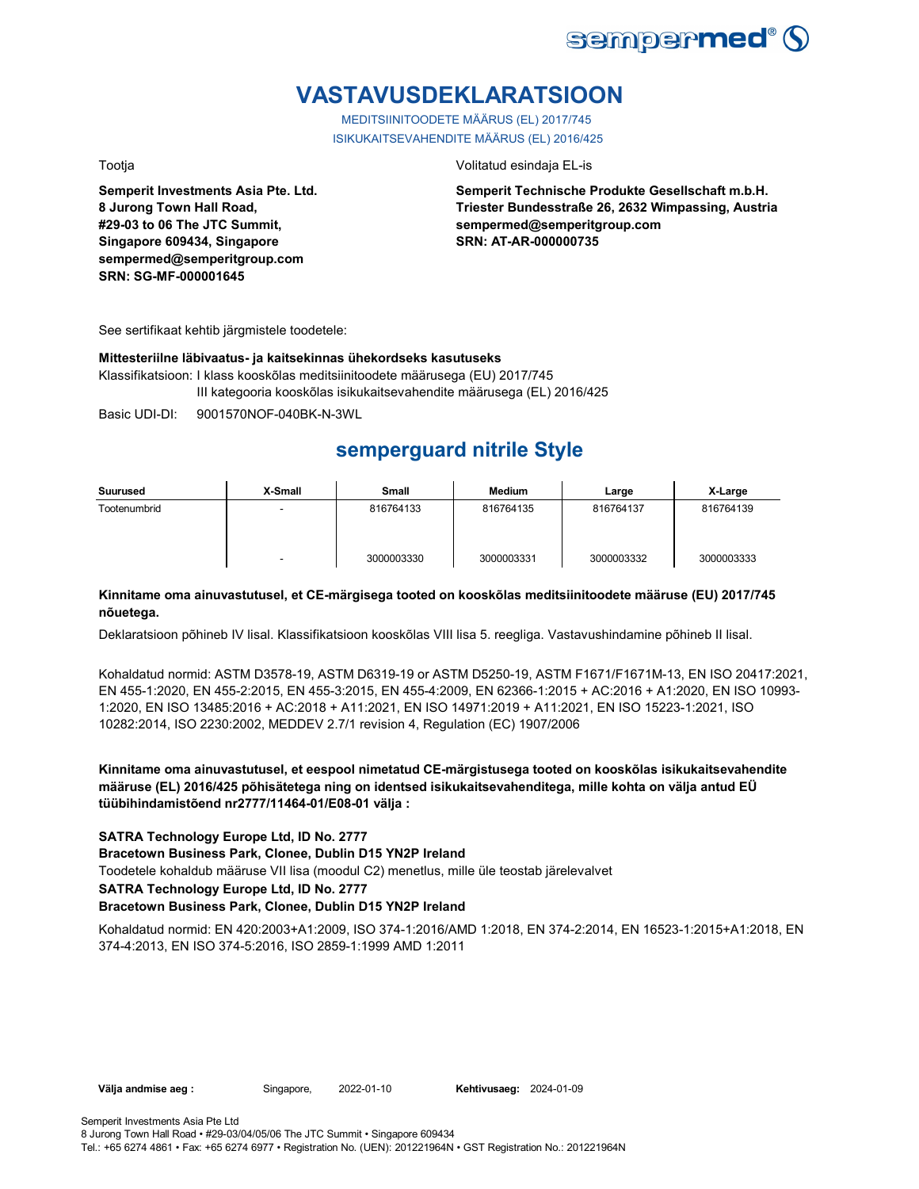

# **VASTAVUSDEKLARATSIOON**

MEDITSIINITOODETE MÄÄRUS (EL) 2017/745 ISIKUKAITSEVAHENDITE MÄÄRUS (EL) 2016/425

**Semperit Investments Asia Pte. Ltd. 8 Jurong Town Hall Road, #29-03 to 06 The JTC Summit, Singapore 609434, Singapore sempermed@semperitgroup.com SRN: SG-MF-000001645**

Tootja Volitatud esindaja EL-is

**Semperit Technische Produkte Gesellschaft m.b.H. Triester Bundesstraße 26, 2632 Wimpassing, Austria sempermed@semperitgroup.com SRN: AT-AR-000000735**

See sertifikaat kehtib järgmistele toodetele:

#### **Mittesteriilne läbivaatus- ja kaitsekinnas ühekordseks kasutuseks**

Klassifikatsioon: I klass kooskõlas meditsiinitoodete määrusega (EU) 2017/745 III kategooria kooskõlas isikukaitsevahendite määrusega (EL) 2016/425

Basic UDI-DI: 9001570NOF-040BK-N-3WL

# **semperguard nitrile Style**

| Suurused     | X-Small                  | Small      | <b>Medium</b> | Large      | X-Large    |
|--------------|--------------------------|------------|---------------|------------|------------|
| Tootenumbrid | $\overline{\phantom{a}}$ | 816764133  | 816764135     | 816764137  | 816764139  |
|              | ۰                        | 3000003330 | 3000003331    | 3000003332 | 3000003333 |

### **Kinnitame oma ainuvastutusel, et CE-märgisega tooted on kooskõlas meditsiinitoodete määruse (EU) 2017/745 nõuetega.**

Deklaratsioon põhineb IV lisal. Klassifikatsioon kooskõlas VIII lisa 5. reegliga. Vastavushindamine põhineb II lisal.

Kohaldatud normid: ASTM D3578-19, ASTM D6319-19 or ASTM D5250-19, ASTM F1671/F1671M-13, EN ISO 20417:2021, EN 455-1:2020, EN 455-2:2015, EN 455-3:2015, EN 455-4:2009, EN 62366-1:2015 + AC:2016 + A1:2020, EN ISO 10993- 1:2020, EN ISO 13485:2016 + AC:2018 + A11:2021, EN ISO 14971:2019 + A11:2021, EN ISO 15223-1:2021, ISO 10282:2014, ISO 2230:2002, MEDDEV 2.7/1 revision 4, Regulation (EC) 1907/2006

**Kinnitame oma ainuvastutusel, et eespool nimetatud CE-märgistusega tooted on kooskõlas isikukaitsevahendite määruse (EL) 2016/425 põhisätetega ning on identsed isikukaitsevahenditega, mille kohta on välja antud EÜ tüübihindamistõend nr2777/11464-01/E08-01 välja :**

### **SATRA Technology Europe Ltd, ID No. 2777**

**Bracetown Business Park, Clonee, Dublin D15 YN2P Ireland**

Toodetele kohaldub määruse VII lisa (moodul C2) menetlus, mille üle teostab järelevalvet

**SATRA Technology Europe Ltd, ID No. 2777**

#### **Bracetown Business Park, Clonee, Dublin D15 YN2P Ireland**

Kohaldatud normid: EN 420:2003+A1:2009, ISO 374-1:2016/AMD 1:2018, EN 374-2:2014, EN 16523-1:2015+A1:2018, EN 374-4:2013, EN ISO 374-5:2016, ISO 2859-1:1999 AMD 1:2011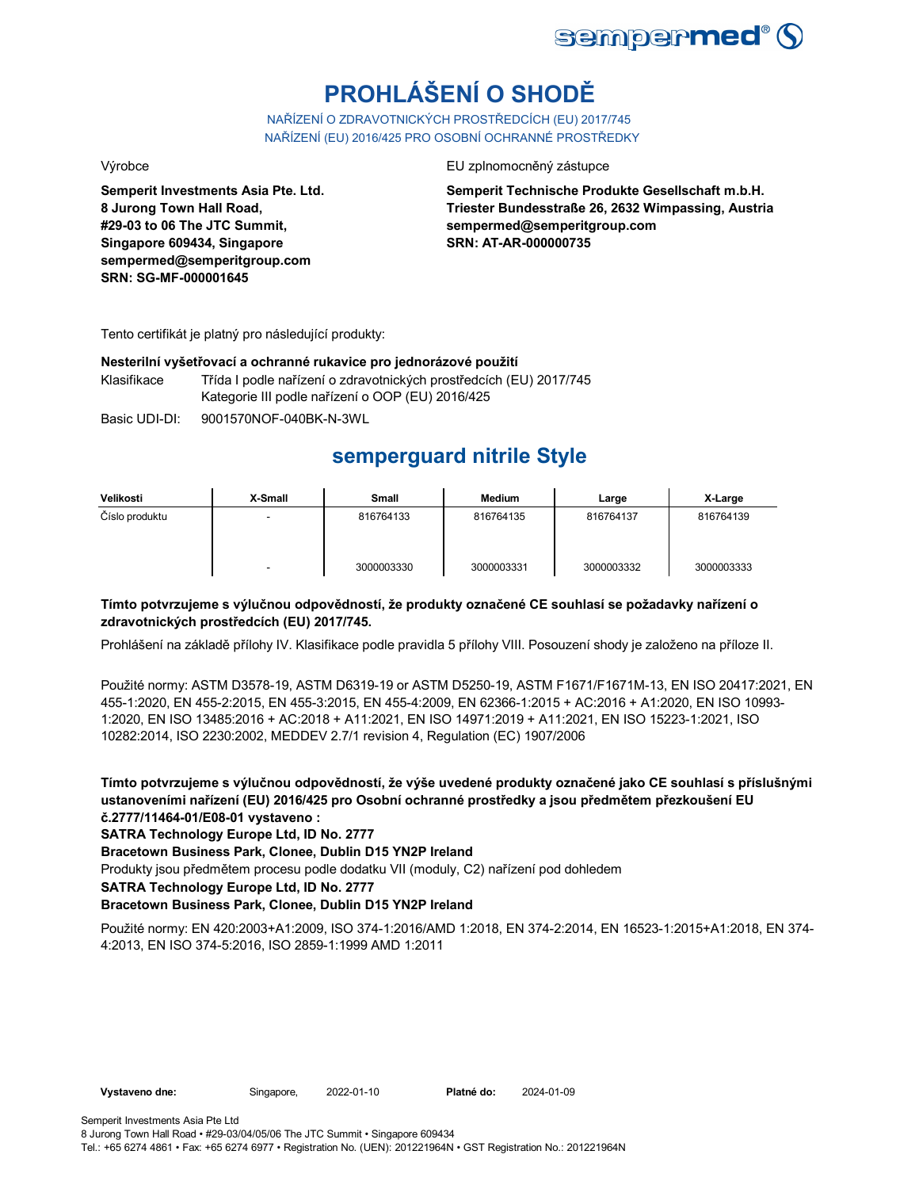

# **PROHLÁŠENÍ O SHODĚ**

NAŘÍZENÍ O ZDRAVOTNICKÝCH PROSTŘEDCÍCH (EU) 2017/745 NAŘÍZENÍ (EU) 2016/425 PRO OSOBNÍ OCHRANNÉ PROSTŘEDKY

**Semperit Investments Asia Pte. Ltd. 8 Jurong Town Hall Road, #29-03 to 06 The JTC Summit, Singapore 609434, Singapore sempermed@semperitgroup.com SRN: SG-MF-000001645**

Výrobce EU zplnomocněný zástupce

**Semperit Technische Produkte Gesellschaft m.b.H. Triester Bundesstraße 26, 2632 Wimpassing, Austria sempermed@semperitgroup.com SRN: AT-AR-000000735**

Tento certifikát je platný pro následující produkty:

#### **Nesterilní vyšetřovací a ochranné rukavice pro jednorázové použití**

Klasifikace Třída I podle nařízení o zdravotnických prostředcích (EU) 2017/745 Kategorie III podle nařízení o OOP (EU) 2016/425

Basic UDI-DI: 9001570NOF-040BK-N-3WL

# **semperguard nitrile Style**

| Velikosti      | X-Small | Small      | <b>Medium</b> | Large      | X-Large    |
|----------------|---------|------------|---------------|------------|------------|
| Číslo produktu | -       | 816764133  | 816764135     | 816764137  | 816764139  |
|                | -       | 3000003330 | 3000003331    | 3000003332 | 3000003333 |

### **Tímto potvrzujeme s výlučnou odpovědností, že produkty označené CE souhlasí se požadavky nařízení o zdravotnických prostředcích (EU) 2017/745.**

Prohlášení na základě přílohy IV. Klasifikace podle pravidla 5 přílohy VIII. Posouzení shody je založeno na příloze II.

Použité normy: ASTM D3578-19, ASTM D6319-19 or ASTM D5250-19, ASTM F1671/F1671M-13, EN ISO 20417:2021, EN 455-1:2020, EN 455-2:2015, EN 455-3:2015, EN 455-4:2009, EN 62366-1:2015 + AC:2016 + A1:2020, EN ISO 10993- 1:2020, EN ISO 13485:2016 + AC:2018 + A11:2021, EN ISO 14971:2019 + A11:2021, EN ISO 15223-1:2021, ISO 10282:2014, ISO 2230:2002, MEDDEV 2.7/1 revision 4, Regulation (EC) 1907/2006

**Tímto potvrzujeme s výlučnou odpovědností, že výše uvedené produkty označené jako CE souhlasí s příslušnými ustanoveními nařízení (EU) 2016/425 pro Osobní ochranné prostředky a jsou předmětem přezkoušení EU č.2777/11464-01/E08-01 vystaveno :**

**SATRA Technology Europe Ltd, ID No. 2777**

**Bracetown Business Park, Clonee, Dublin D15 YN2P Ireland**

Produkty jsou předmětem procesu podle dodatku VII (moduly, C2) nařízení pod dohledem

**SATRA Technology Europe Ltd, ID No. 2777**

### **Bracetown Business Park, Clonee, Dublin D15 YN2P Ireland**

Použité normy: EN 420:2003+A1:2009, ISO 374-1:2016/AMD 1:2018, EN 374-2:2014, EN 16523-1:2015+A1:2018, EN 374- 4:2013, EN ISO 374-5:2016, ISO 2859-1:1999 AMD 1:2011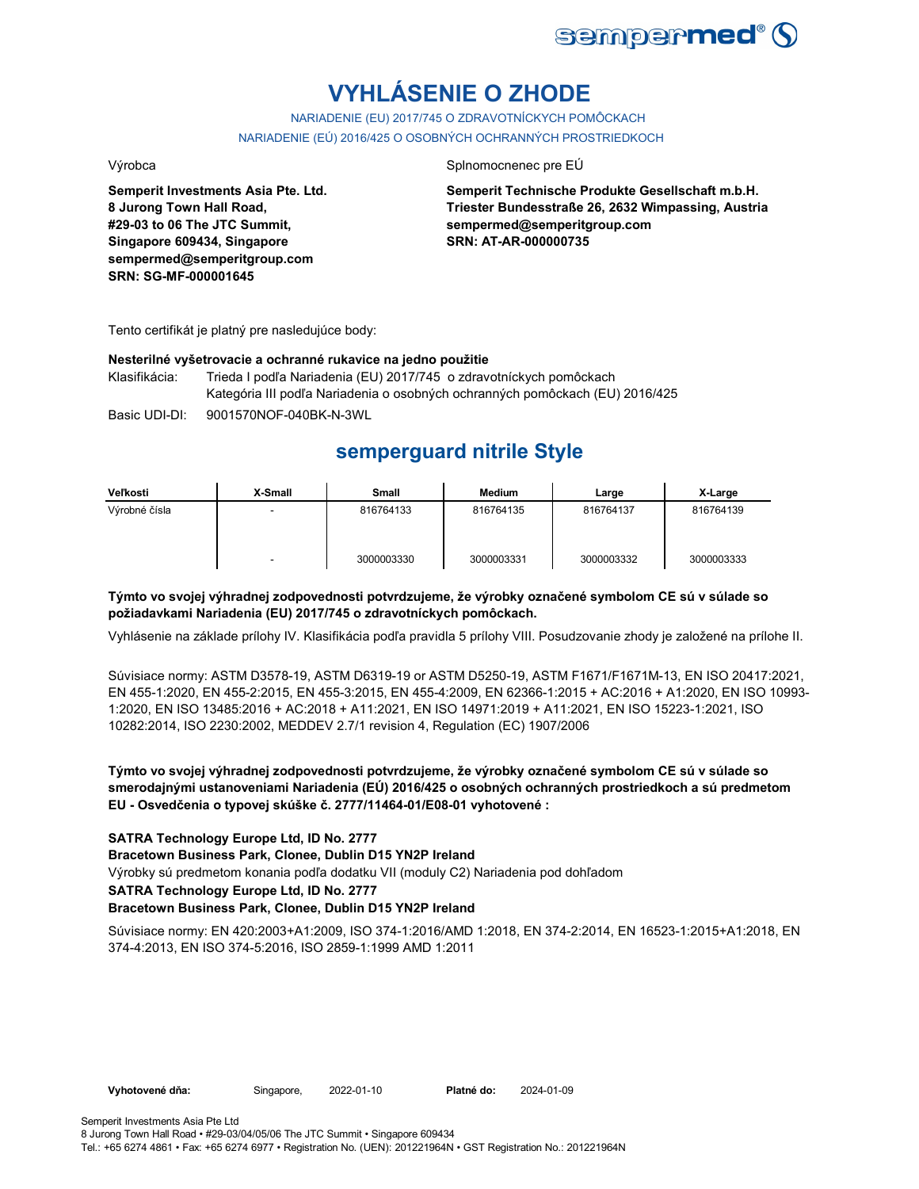

# **VYHLÁSENIE O ZHODE**

NARIADENIE (EU) 2017/745 O ZDRAVOTNÍCKYCH POMÔCKACH NARIADENIE (EÚ) 2016/425 O OSOBNÝCH OCHRANNÝCH PROSTRIEDKOCH

**Semperit Investments Asia Pte. Ltd. 8 Jurong Town Hall Road, #29-03 to 06 The JTC Summit, Singapore 609434, Singapore sempermed@semperitgroup.com SRN: SG-MF-000001645**

#### Výrobca Splnomocnenec pre EÚ

**Semperit Technische Produkte Gesellschaft m.b.H. Triester Bundesstraße 26, 2632 Wimpassing, Austria sempermed@semperitgroup.com SRN: AT-AR-000000735**

Tento certifikát je platný pre nasledujúce body:

#### **Nesterilné vyšetrovacie a ochranné rukavice na jedno použitie**

Klasifikácia: Trieda I podľa Nariadenia (EU) 2017/745 o zdravotníckych pomôckach Kategória III podľa Nariadenia o osobných ochranných pomôckach (EU) 2016/425

Basic UDI-DI: 9001570NOF-040BK-N-3WL

# **semperguard nitrile Style**

| Veľkosti      | X-Small | Small      | Medium     | Large      | X-Large    |
|---------------|---------|------------|------------|------------|------------|
| Výrobné čísla |         | 816764133  | 816764135  | 816764137  | 816764139  |
|               | -       | 3000003330 | 3000003331 | 3000003332 | 3000003333 |

### **Týmto vo svojej výhradnej zodpovednosti potvrdzujeme, že výrobky označené symbolom CE sú v súlade so požiadavkami Nariadenia (EU) 2017/745 o zdravotníckych pomôckach.**

Vyhlásenie na základe prílohy IV. Klasifikácia podľa pravidla 5 prílohy VIII. Posudzovanie zhody je založené na prílohe II.

Súvisiace normy: ASTM D3578-19, ASTM D6319-19 or ASTM D5250-19, ASTM F1671/F1671M-13, EN ISO 20417:2021, EN 455-1:2020, EN 455-2:2015, EN 455-3:2015, EN 455-4:2009, EN 62366-1:2015 + AC:2016 + A1:2020, EN ISO 10993- 1:2020, EN ISO 13485:2016 + AC:2018 + A11:2021, EN ISO 14971:2019 + A11:2021, EN ISO 15223-1:2021, ISO 10282:2014, ISO 2230:2002, MEDDEV 2.7/1 revision 4, Regulation (EC) 1907/2006

### **Týmto vo svojej výhradnej zodpovednosti potvrdzujeme, že výrobky označené symbolom CE sú v súlade so smerodajnými ustanoveniami Nariadenia (EÚ) 2016/425 o osobných ochranných prostriedkoch a sú predmetom EU - Osvedčenia o typovej skúške č. 2777/11464-01/E08-01 vyhotovené :**

### **SATRA Technology Europe Ltd, ID No. 2777**

**Bracetown Business Park, Clonee, Dublin D15 YN2P Ireland**

Výrobky sú predmetom konania podľa dodatku VII (moduly C2) Nariadenia pod dohľadom

#### **SATRA Technology Europe Ltd, ID No. 2777**

#### **Bracetown Business Park, Clonee, Dublin D15 YN2P Ireland**

Súvisiace normy: EN 420:2003+A1:2009, ISO 374-1:2016/AMD 1:2018, EN 374-2:2014, EN 16523-1:2015+A1:2018, EN 374-4:2013, EN ISO 374-5:2016, ISO 2859-1:1999 AMD 1:2011

**Vyhotovené dňa:** Singapore, 2022-01-10

Platné do: 2024-01-09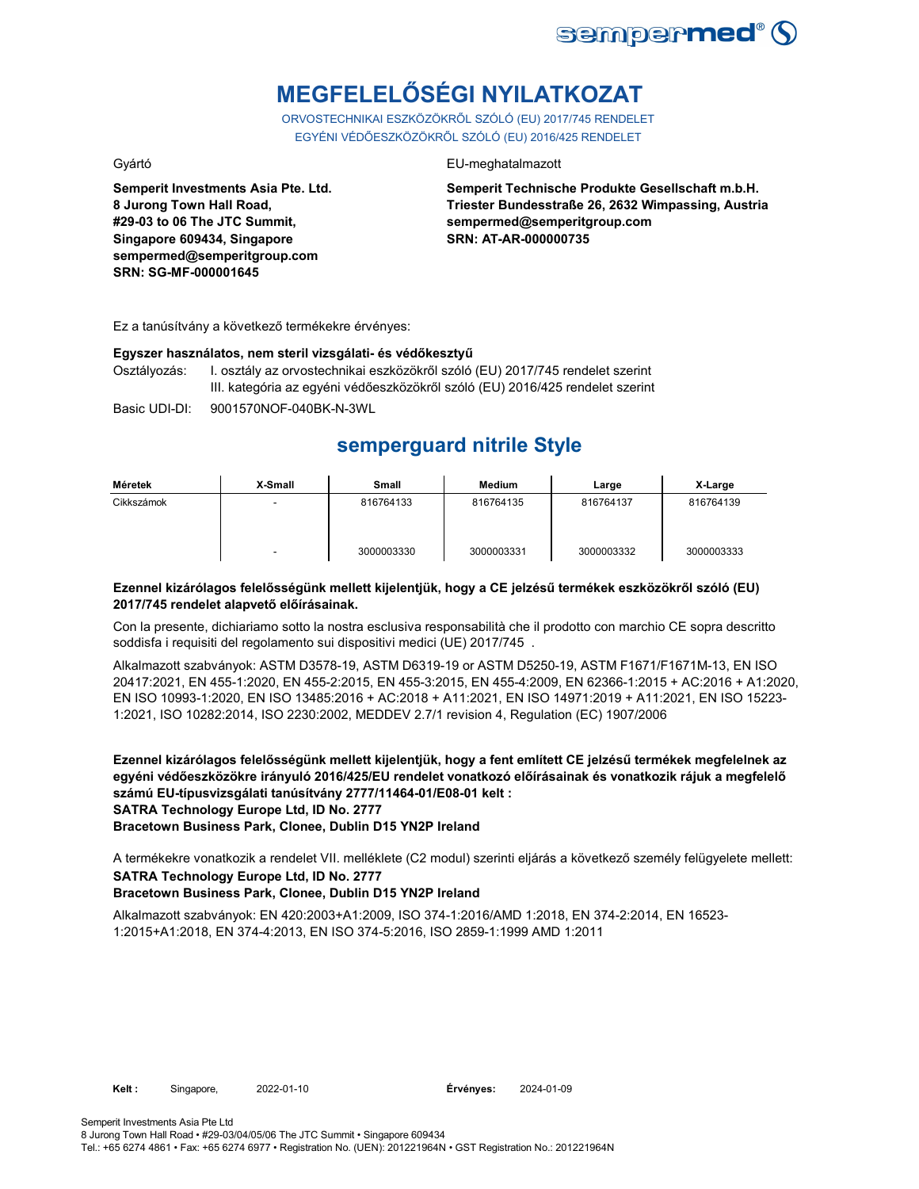

# **MEGFELELŐSÉGI NYILATKOZAT**

ORVOSTECHNIKAI ESZKÖZÖKRŐL SZÓLÓ (EU) 2017/745 RENDELET EGYÉNI VÉDŐESZKÖZÖKRŐL SZÓLÓ (EU) 2016/425 RENDELET

Gyártó EU-meghatalmazott

**Semperit Investments Asia Pte. Ltd. 8 Jurong Town Hall Road, #29-03 to 06 The JTC Summit, Singapore 609434, Singapore sempermed@semperitgroup.com SRN: SG-MF-000001645**

#### **Semperit Technische Produkte Gesellschaft m.b.H. Triester Bundesstraße 26, 2632 Wimpassing, Austria sempermed@semperitgroup.com SRN: AT-AR-000000735**

Ez a tanúsítvány a következő termékekre érvényes:

#### **Egyszer használatos, nem steril vizsgálati- és védőkesztyű**

Osztályozás: I. osztály az orvostechnikai eszközökről szóló (EU) 2017/745 rendelet szerint III. kategória az egyéni védőeszközökről szóló (EU) 2016/425 rendelet szerint

Basic UDI-DI: 9001570NOF-040BK-N-3WL

# **semperguard nitrile Style**

| Méretek    | X-Small | Small      | Medium     | Large      | X-Large    |
|------------|---------|------------|------------|------------|------------|
| Cikkszámok |         | 816764133  | 816764135  | 816764137  | 816764139  |
|            |         | 3000003330 | 3000003331 | 3000003332 | 3000003333 |

### **Ezennel kizárólagos felelősségünk mellett kijelentjük, hogy a CE jelzésű termékek eszközökről szóló (EU) 2017/745 rendelet alapvető előírásainak.**

Con la presente, dichiariamo sotto la nostra esclusiva responsabilità che il prodotto con marchio CE sopra descritto soddisfa i requisiti del regolamento sui dispositivi medici (UE) 2017/745 .

Alkalmazott szabványok: ASTM D3578-19, ASTM D6319-19 or ASTM D5250-19, ASTM F1671/F1671M-13, EN ISO 20417:2021, EN 455-1:2020, EN 455-2:2015, EN 455-3:2015, EN 455-4:2009, EN 62366-1:2015 + AC:2016 + A1:2020, EN ISO 10993-1:2020, EN ISO 13485:2016 + AC:2018 + A11:2021, EN ISO 14971:2019 + A11:2021, EN ISO 15223- 1:2021, ISO 10282:2014, ISO 2230:2002, MEDDEV 2.7/1 revision 4, Regulation (EC) 1907/2006

**Ezennel kizárólagos felelősségünk mellett kijelentjük, hogy a fent említett CE jelzésű termékek megfelelnek az egyéni védőeszközökre irányuló 2016/425/EU rendelet vonatkozó előírásainak és vonatkozik rájuk a megfelelő számú EU-típusvizsgálati tanúsítvány 2777/11464-01/E08-01 kelt : SATRA Technology Europe Ltd, ID No. 2777**

**Bracetown Business Park, Clonee, Dublin D15 YN2P Ireland**

A termékekre vonatkozik a rendelet VII. melléklete (C2 modul) szerinti eljárás a következő személy felügyelete mellett: **SATRA Technology Europe Ltd, ID No. 2777 Bracetown Business Park, Clonee, Dublin D15 YN2P Ireland**

Alkalmazott szabványok: EN 420:2003+A1:2009, ISO 374-1:2016/AMD 1:2018, EN 374-2:2014, EN 16523- 1:2015+A1:2018, EN 374-4:2013, EN ISO 374-5:2016, ISO 2859-1:1999 AMD 1:2011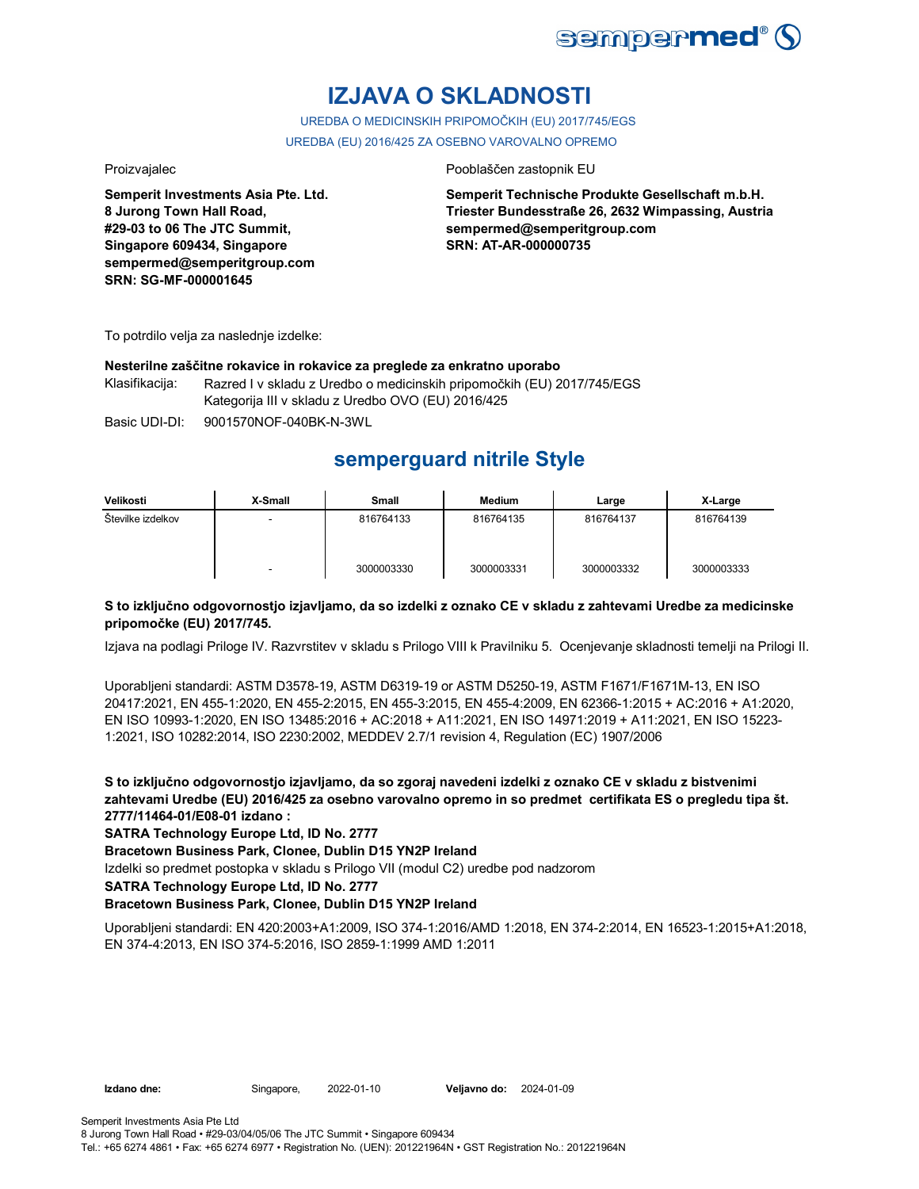

# **IZJAVA O SKLADNOSTI**

UREDBA O MEDICINSKIH PRIPOMOČKIH (EU) 2017/745/EGS UREDBA (EU) 2016/425 ZA OSEBNO VAROVALNO OPREMO

**Semperit Investments Asia Pte. Ltd. 8 Jurong Town Hall Road, #29-03 to 06 The JTC Summit, Singapore 609434, Singapore sempermed@semperitgroup.com SRN: SG-MF-000001645**

#### Proizvajalec Pooblaščen zastopnik EU

**Semperit Technische Produkte Gesellschaft m.b.H. Triester Bundesstraße 26, 2632 Wimpassing, Austria sempermed@semperitgroup.com SRN: AT-AR-000000735**

To potrdilo velja za naslednje izdelke:

#### **Nesterilne zaščitne rokavice in rokavice za preglede za enkratno uporabo**

Klasifikacija: Razred I v skladu z Uredbo o medicinskih pripomočkih (EU) 2017/745/EGS Kategorija III v skladu z Uredbo OVO (EU) 2016/425

Basic UDI-DI: 9001570NOF-040BK-N-3WL

# **semperguard nitrile Style**

| Velikosti         | X-Small | <b>Small</b> | Medium     | Large      | X-Large    |
|-------------------|---------|--------------|------------|------------|------------|
| Številke izdelkov | -       | 816764133    | 816764135  | 816764137  | 816764139  |
|                   |         | 3000003330   | 3000003331 | 3000003332 | 3000003333 |

### **S to izključno odgovornostjo izjavljamo, da so izdelki z oznako CE v skladu z zahtevami Uredbe za medicinske pripomočke (EU) 2017/745.**

Izjava na podlagi Priloge IV. Razvrstitev v skladu s Prilogo VIII k Pravilniku 5. Ocenjevanje skladnosti temelji na Prilogi II.

Uporabljeni standardi: ASTM D3578-19, ASTM D6319-19 or ASTM D5250-19, ASTM F1671/F1671M-13, EN ISO 20417:2021, EN 455-1:2020, EN 455-2:2015, EN 455-3:2015, EN 455-4:2009, EN 62366-1:2015 + AC:2016 + A1:2020, EN ISO 10993-1:2020, EN ISO 13485:2016 + AC:2018 + A11:2021, EN ISO 14971:2019 + A11:2021, EN ISO 15223- 1:2021, ISO 10282:2014, ISO 2230:2002, MEDDEV 2.7/1 revision 4, Regulation (EC) 1907/2006

**S to izključno odgovornostjo izjavljamo, da so zgoraj navedeni izdelki z oznako CE v skladu z bistvenimi zahtevami Uredbe (EU) 2016/425 za osebno varovalno opremo in so predmet certifikata ES o pregledu tipa št. 2777/11464-01/E08-01 izdano :**

**SATRA Technology Europe Ltd, ID No. 2777**

**Bracetown Business Park, Clonee, Dublin D15 YN2P Ireland**

Izdelki so predmet postopka v skladu s Prilogo VII (modul C2) uredbe pod nadzorom

**SATRA Technology Europe Ltd, ID No. 2777**

### **Bracetown Business Park, Clonee, Dublin D15 YN2P Ireland**

Uporabljeni standardi: EN 420:2003+A1:2009, ISO 374-1:2016/AMD 1:2018, EN 374-2:2014, EN 16523-1:2015+A1:2018, EN 374-4:2013, EN ISO 374-5:2016, ISO 2859-1:1999 AMD 1:2011

**Izdano dne:** Singapore, 2022-01-10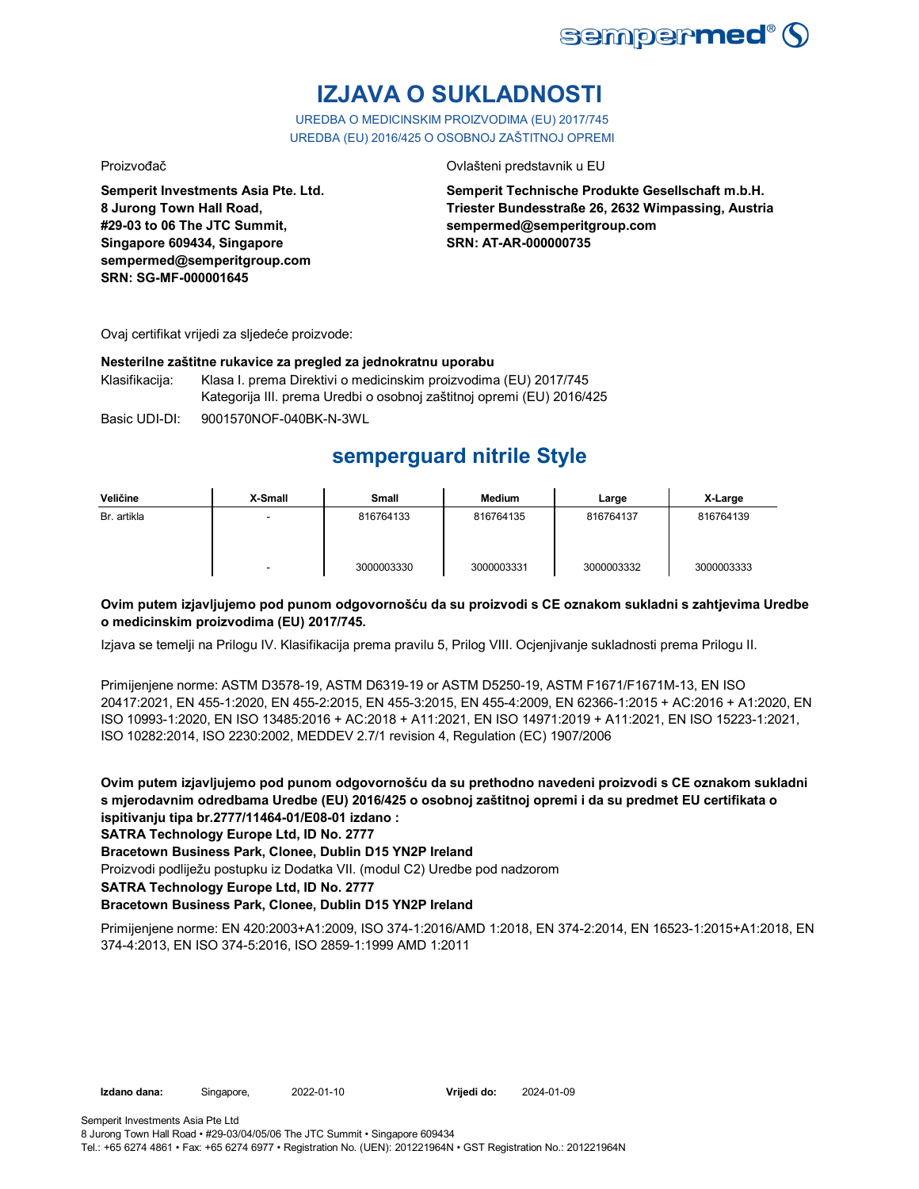

# **IZJAVA O SUKLADNOSTI**

UREDBA O MEDICINSKIM PROIZVODIMA (EU) 2017/745 UREDBA (EU) 2016/425 O OSOBNOJ ZAŠTITNOJ OPREMI

Proizvođač Ovlašteni predstavnik u EU

**Semperit Investments Asia Pte. Ltd. 8 Jurong Town Hall Road, #29-03 to 06 The JTC Summit, Singapore 609434, Singapore sempermed@semperitgroup.com SRN: SG-MF-000001645**

**Semperit Technische Produkte Gesellschaft m.b.H. Triester Bundesstraße 26, 2632 Wimpassing, Austria sempermed@semperitgroup.com SRN: AT-AR-000000735**

Ovaj certifikat vrijedi za sljedeće proizvode:

#### **Nesterilne zaštitne rukavice za pregled za jednokratnu uporabu**

Klasifikacija: Klasa I. prema Direktivi o medicinskim proizvodima (EU) 2017/745 Kategorija III. prema Uredbi o osobnoj zaštitnoj opremi (EU) 2016/425

Basic UDI-DI: 9001570NOF-040BK-N-3WL

# **semperguard nitrile Style**

| Veličine    | X-Small | Small      | <b>Medium</b> | Large      | X-Large    |
|-------------|---------|------------|---------------|------------|------------|
| Br. artikla |         | 816764133  | 816764135     | 816764137  | 816764139  |
|             | ۰       | 3000003330 | 3000003331    | 3000003332 | 3000003333 |

### **Ovim putem izjavljujemo pod punom odgovornošću da su proizvodi s CE oznakom sukladni s zahtjevima Uredbe o medicinskim proizvodima (EU) 2017/745.**

Izjava se temelji na Prilogu IV. Klasifikacija prema pravilu 5, Prilog VIII. Ocjenjivanje sukladnosti prema Prilogu II.

Primijenjene norme: ASTM D3578-19, ASTM D6319-19 or ASTM D5250-19, ASTM F1671/F1671M-13, EN ISO 20417:2021, EN 455-1:2020, EN 455-2:2015, EN 455-3:2015, EN 455-4:2009, EN 62366-1:2015 + AC:2016 + A1:2020, EN ISO 10993-1:2020, EN ISO 13485:2016 + AC:2018 + A11:2021, EN ISO 14971:2019 + A11:2021, EN ISO 15223-1:2021, ISO 10282:2014, ISO 2230:2002, MEDDEV 2.7/1 revision 4, Regulation (EC) 1907/2006

**Ovim putem izjavljujemo pod punom odgovornošću da su prethodno navedeni proizvodi s CE oznakom sukladni s mjerodavnim odredbama Uredbe (EU) 2016/425 o osobnoj zaštitnoj opremi i da su predmet EU certifikata o ispitivanju tipa br.2777/11464-01/E08-01 izdano :**

### **SATRA Technology Europe Ltd, ID No. 2777**

**Bracetown Business Park, Clonee, Dublin D15 YN2P Ireland**

Proizvodi podliježu postupku iz Dodatka VII. (modul C2) Uredbe pod nadzorom

**SATRA Technology Europe Ltd, ID No. 2777**

### **Bracetown Business Park, Clonee, Dublin D15 YN2P Ireland**

Primijenjene norme: EN 420:2003+A1:2009, ISO 374-1:2016/AMD 1:2018, EN 374-2:2014, EN 16523-1:2015+A1:2018, EN 374-4:2013, EN ISO 374-5:2016, ISO 2859-1:1999 AMD 1:2011

**Vrijedi do:** 2024-01-09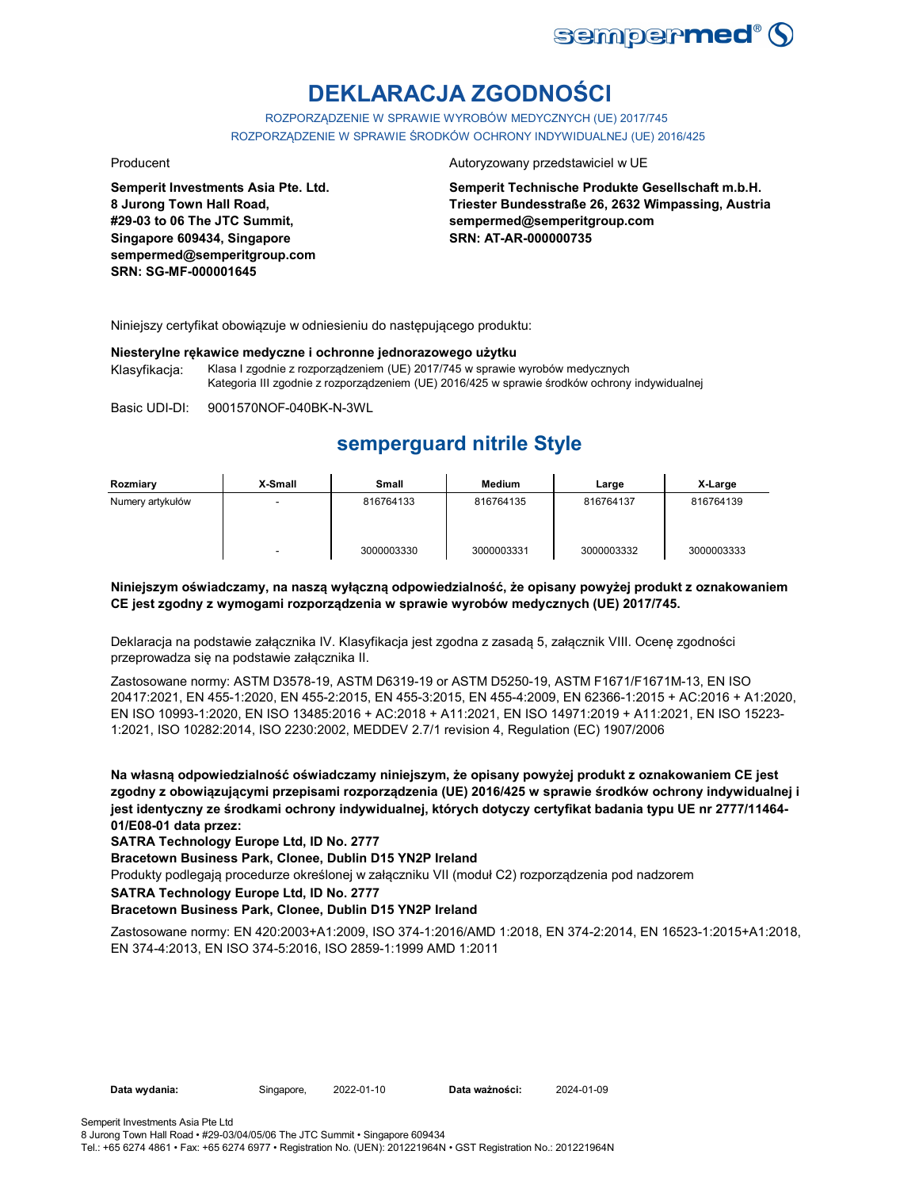

# **DEKLARACJA ZGODNOŚCI**

ROZPORZĄDZENIE W SPRAWIE WYROBÓW MEDYCZNYCH (UE) 2017/745 ROZPORZĄDZENIE W SPRAWIE ŚRODKÓW OCHRONY INDYWIDUALNEJ (UE) 2016/425

**Semperit Investments Asia Pte. Ltd. 8 Jurong Town Hall Road, #29-03 to 06 The JTC Summit, Singapore 609434, Singapore sempermed@semperitgroup.com SRN: SG-MF-000001645**

#### Producent **Autoryzowany przedstawiciel w UE**

**Semperit Technische Produkte Gesellschaft m.b.H. Triester Bundesstraße 26, 2632 Wimpassing, Austria sempermed@semperitgroup.com SRN: AT-AR-000000735**

Niniejszy certyfikat obowiązuje w odniesieniu do następującego produktu:

#### **Niesterylne rękawice medyczne i ochronne jednorazowego użytku**

Klasyfikacja: Klasa I zgodnie z rozporządzeniem (UE) 2017/745 w sprawie wyrobów medycznych Kategoria III zgodnie z rozporządzeniem (UE) 2016/425 w sprawie środków ochrony indywidualnej

Basic UDI-DI: 9001570NOF-040BK-N-3WL

## **semperguard nitrile Style**

| Rozmiary         | X-Small | Small      | Medium     | Large      | X-Large    |
|------------------|---------|------------|------------|------------|------------|
| Numery artykułów |         | 816764133  | 816764135  | 816764137  | 816764139  |
|                  |         | 3000003330 | 3000003331 | 3000003332 | 3000003333 |

#### **Niniejszym oświadczamy, na naszą wyłączną odpowiedzialność, że opisany powyżej produkt z oznakowaniem CE jest zgodny z wymogami rozporządzenia w sprawie wyrobów medycznych (UE) 2017/745.**

Deklaracja na podstawie załącznika IV. Klasyfikacja jest zgodna z zasadą 5, załącznik VIII. Ocenę zgodności przeprowadza się na podstawie załącznika II.

Zastosowane normy: ASTM D3578-19, ASTM D6319-19 or ASTM D5250-19, ASTM F1671/F1671M-13, EN ISO 20417:2021, EN 455-1:2020, EN 455-2:2015, EN 455-3:2015, EN 455-4:2009, EN 62366-1:2015 + AC:2016 + A1:2020, EN ISO 10993-1:2020, EN ISO 13485:2016 + AC:2018 + A11:2021, EN ISO 14971:2019 + A11:2021, EN ISO 15223- 1:2021, ISO 10282:2014, ISO 2230:2002, MEDDEV 2.7/1 revision 4, Regulation (EC) 1907/2006

**Na własną odpowiedzialność oświadczamy niniejszym, że opisany powyżej produkt z oznakowaniem CE jest zgodny z obowiązującymi przepisami rozporządzenia (UE) 2016/425 w sprawie środków ochrony indywidualnej i jest identyczny ze środkami ochrony indywidualnej, których dotyczy certyfikat badania typu UE nr 2777/11464- 01/E08-01 data przez:**

**SATRA Technology Europe Ltd, ID No. 2777**

**Bracetown Business Park, Clonee, Dublin D15 YN2P Ireland**

Produkty podlegają procedurze określonej w załączniku VII (moduł C2) rozporządzenia pod nadzorem

**SATRA Technology Europe Ltd, ID No. 2777**

#### **Bracetown Business Park, Clonee, Dublin D15 YN2P Ireland**

Zastosowane normy: EN 420:2003+A1:2009, ISO 374-1:2016/AMD 1:2018, EN 374-2:2014, EN 16523-1:2015+A1:2018, EN 374-4:2013, EN ISO 374-5:2016, ISO 2859-1:1999 AMD 1:2011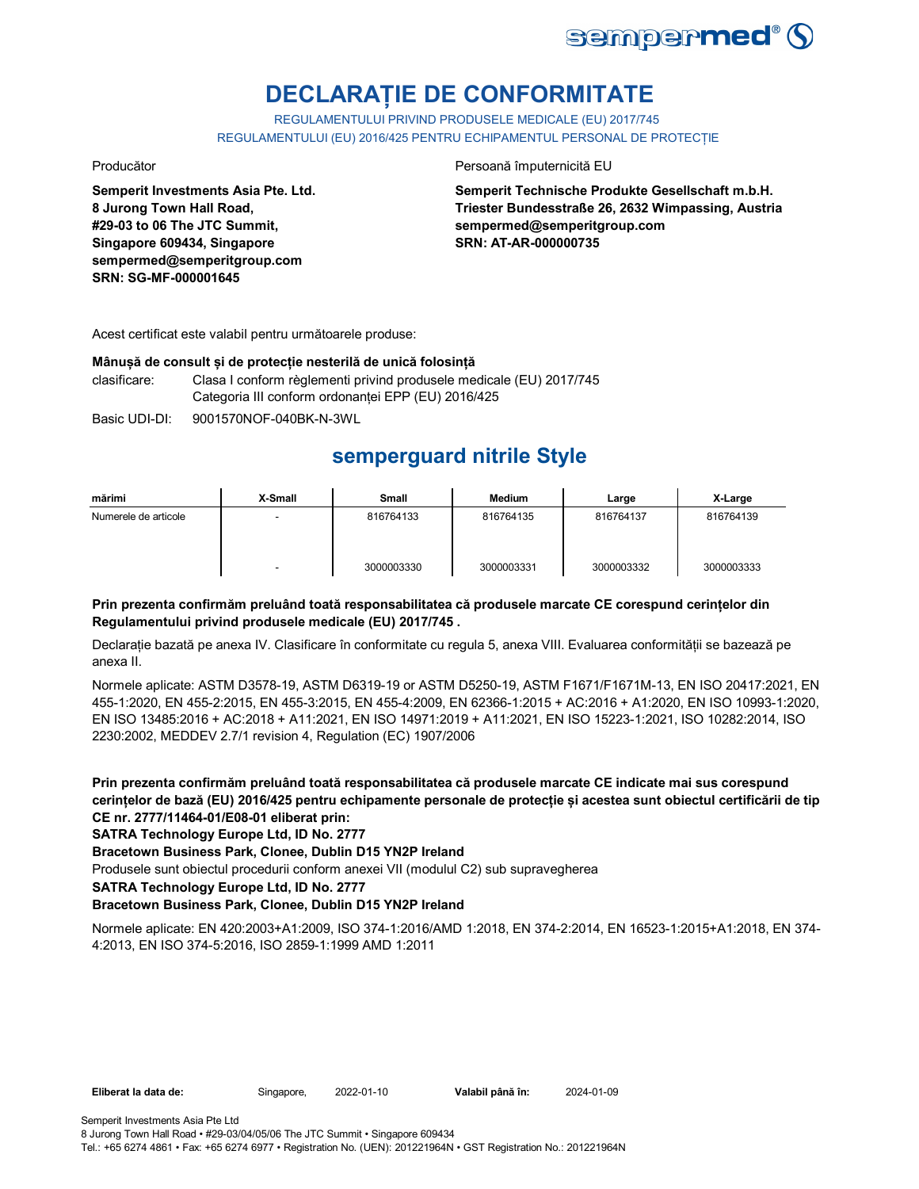

# **DECLARAȚIE DE CONFORMITATE**

REGULAMENTULUI PRIVIND PRODUSELE MEDICALE (EU) 2017/745 REGULAMENTULUI (EU) 2016/425 PENTRU ECHIPAMENTUL PERSONAL DE PROTECȚIE

**Semperit Investments Asia Pte. Ltd. 8 Jurong Town Hall Road, #29-03 to 06 The JTC Summit, Singapore 609434, Singapore sempermed@semperitgroup.com SRN: SG-MF-000001645**

Producător **Producător** Persoană împuternicită EU

**Semperit Technische Produkte Gesellschaft m.b.H. Triester Bundesstraße 26, 2632 Wimpassing, Austria sempermed@semperitgroup.com SRN: AT-AR-000000735**

Acest certificat este valabil pentru următoarele produse:

#### **Mânușă de consult și de protecție nesterilă de unică folosință**

clasificare: Clasa I conform règlementi privind produsele medicale (EU) 2017/745 Categoria III conform ordonanței EPP (EU) 2016/425

Basic UDI-DI: 9001570NOF-040BK-N-3WL

# **semperguard nitrile Style**

| mărimi               | X-Small | <b>Small</b> | <b>Medium</b> | Large      | X-Large    |
|----------------------|---------|--------------|---------------|------------|------------|
| Numerele de articole | ٠       | 816764133    | 816764135     | 816764137  | 816764139  |
|                      | ۰       | 3000003330   | 3000003331    | 3000003332 | 3000003333 |

### **Prin prezenta confirmăm preluând toată responsabilitatea că produsele marcate CE corespund cerințelor din Regulamentului privind produsele medicale (EU) 2017/745 .**

Declarație bazată pe anexa IV. Clasificare în conformitate cu regula 5, anexa VIII. Evaluarea conformității se bazează pe anexa II.

Normele aplicate: ASTM D3578-19, ASTM D6319-19 or ASTM D5250-19, ASTM F1671/F1671M-13, EN ISO 20417:2021, EN 455-1:2020, EN 455-2:2015, EN 455-3:2015, EN 455-4:2009, EN 62366-1:2015 + AC:2016 + A1:2020, EN ISO 10993-1:2020, EN ISO 13485:2016 + AC:2018 + A11:2021, EN ISO 14971:2019 + A11:2021, EN ISO 15223-1:2021, ISO 10282:2014, ISO 2230:2002, MEDDEV 2.7/1 revision 4, Regulation (EC) 1907/2006

**Prin prezenta confirmăm preluând toată responsabilitatea că produsele marcate CE indicate mai sus corespund cerințelor de bază (EU) 2016/425 pentru echipamente personale de protecție și acestea sunt obiectul certificării de tip CE nr. 2777/11464-01/E08-01 eliberat prin:**

**SATRA Technology Europe Ltd, ID No. 2777**

**Bracetown Business Park, Clonee, Dublin D15 YN2P Ireland**

Produsele sunt obiectul procedurii conform anexei VII (modulul C2) sub supravegherea

**SATRA Technology Europe Ltd, ID No. 2777**

### **Bracetown Business Park, Clonee, Dublin D15 YN2P Ireland**

Normele aplicate: EN 420:2003+A1:2009, ISO 374-1:2016/AMD 1:2018, EN 374-2:2014, EN 16523-1:2015+A1:2018, EN 374- 4:2013, EN ISO 374-5:2016, ISO 2859-1:1999 AMD 1:2011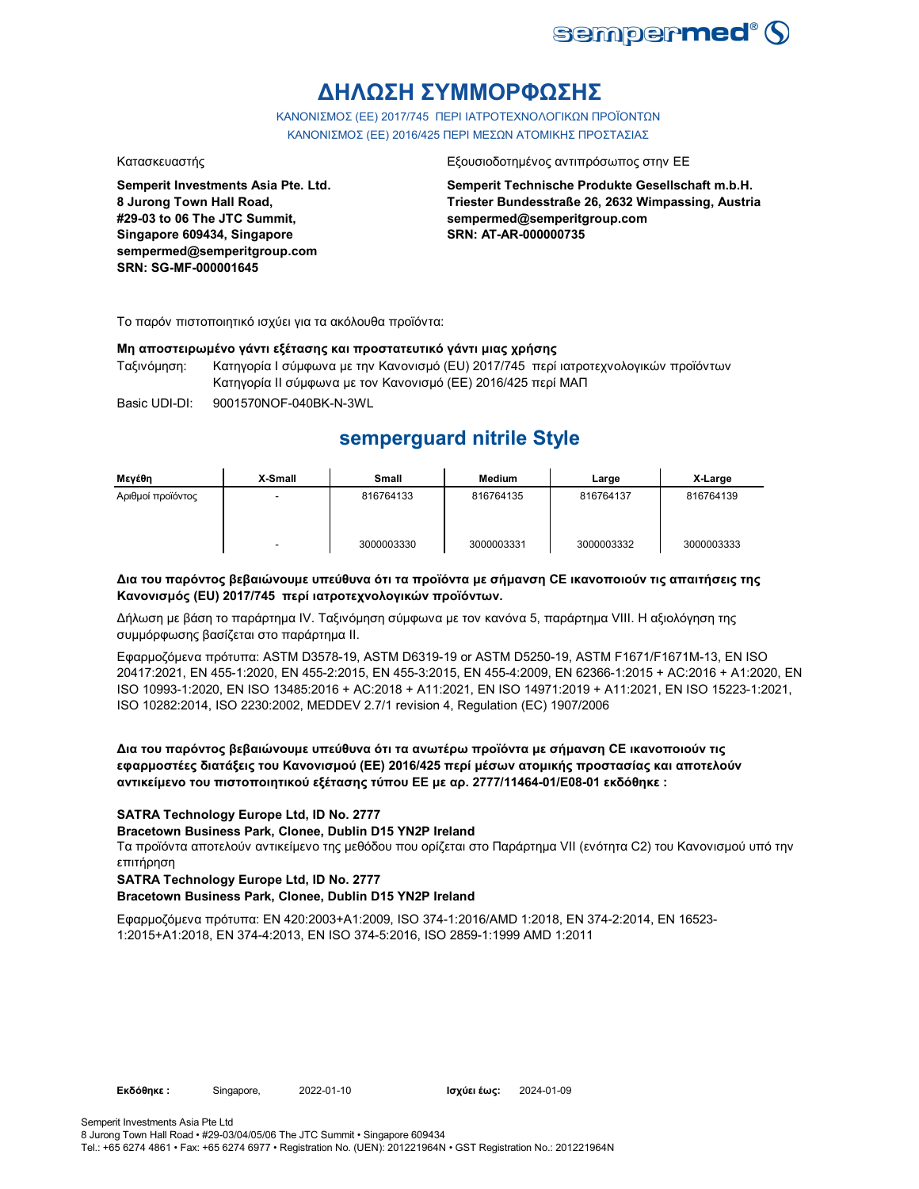

# **ΔΗΛΩΣΗ ΣΥΜΜΟΡΦΩΣΗΣ**

ΚΑΝΟΝΙΣΜΟΣ (EE) 2017/745 ΠΕΡΙ ΙΑΤΡΟΤΕΧΝΟΛΟΓΙΚΩΝ ΠΡΟΪΟΝΤΩΝ ΚΑΝΟΝΙΣΜΟΣ (ΕΕ) 2016/425 ΠΕΡΙ ΜΕΣΩΝ ΑΤΟΜΙΚΗΣ ΠΡΟΣΤΑΣΙΑΣ

**Semperit Investments Asia Pte. Ltd. 8 Jurong Town Hall Road, #29-03 to 06 The JTC Summit, Singapore 609434, Singapore sempermed@semperitgroup.com SRN: SG-MF-000001645**

#### Κατασκευαστής Εξουσιοδοτημένος αντιπρόσωπος στην ΕΕ

**Semperit Technische Produkte Gesellschaft m.b.H. Triester Bundesstraße 26, 2632 Wimpassing, Austria sempermed@semperitgroup.com SRN: AT-AR-000000735**

Το παρόν πιστοποιητικό ισχύει για τα ακόλουθα προϊόντα:

#### **Μη αποστειρωμένο γάντι εξέτασης και προστατευτικό γάντι μιας χρήσης**

Ταξινόμηση: Κατηγορία I σύμφωνα με την Κανονισμό (EU) 2017/745 περί ιατροτεχνολογικών προϊόντων Κατηγορία II σύμφωνα με τον Κανονισμό (ΕΕ) 2016/425 περί ΜΑΠ

Basic UDI-DI: 9001570NOF-040BK-N-3WL 9001570NOF-040BK-N-3W

## **semperguard nitrile Style**

| Μενέθη            | X-Small                  | Small      | <b>Medium</b> | Large      | X-Large    |
|-------------------|--------------------------|------------|---------------|------------|------------|
| Αριθμοί προϊόντος | $\overline{\phantom{a}}$ | 816764133  | 816764135     | 816764137  | 816764139  |
|                   | $\overline{\phantom{a}}$ | 3000003330 | 3000003331    | 3000003332 | 3000003333 |

#### **Δια του παρόντος βεβαιώνουμε υπεύθυνα ότι τα προϊόντα με σήμανση CE ικανοποιούν τις απαιτήσεις της Κανονισμός (EU) 2017/745 περί ιατροτεχνολογικών προϊόντων.**

Δήλωση με βάση το παράρτημα IV. Ταξινόμηση σύμφωνα με τον κανόνα 5, παράρτημα VIII. Η αξιολόγηση της συμμόρφωσης βασίζεται στο παράρτημα II.

Εφαρμοζόμενα πρότυπα: ASTM D3578-19, ASTM D6319-19 or ASTM D5250-19, ASTM F1671/F1671M-13, EN ISO 20417:2021, EN 455-1:2020, EN 455-2:2015, EN 455-3:2015, EN 455-4:2009, EN 62366-1:2015 + AC:2016 + A1:2020, EN ISO 10993-1:2020, EN ISO 13485:2016 + AC:2018 + A11:2021, EN ISO 14971:2019 + A11:2021, EN ISO 15223-1:2021, ISO 10282:2014, ISO 2230:2002, MEDDEV 2.7/1 revision 4, Regulation (EC) 1907/2006

#### **Δια του παρόντος βεβαιώνουμε υπεύθυνα ότι τα ανωτέρω προϊόντα με σήμανση CE ικανοποιούν τις εφαρμοστέες διατάξεις του Κανονισμού (ΕΕ) 2016/425 περί μέσων ατομικής προστασίας και αποτελούν αντικείμενο του πιστοποιητικού εξέτασης τύπου ΕΕ με αρ. 2777/11464-01/E08-01 εκδόθηκε :**

#### **SATRA Technology Europe Ltd, ID No. 2777**

**Bracetown Business Park, Clonee, Dublin D15 YN2P Ireland**

Τα προϊόντα αποτελούν αντικείμενο της μεθόδου που ορίζεται στο Παράρτημα VII (ενότητα C2) του Κανονισμού υπό την επιτήρηση

#### **SATRA Technology Europe Ltd, ID No. 2777**

### **Bracetown Business Park, Clonee, Dublin D15 YN2P Ireland**

Εφαρμοζόμενα πρότυπα: EN 420:2003+A1:2009, ISO 374-1:2016/AMD 1:2018, EN 374-2:2014, EN 16523- 1:2015+A1:2018, EN 374-4:2013, EN ISO 374-5:2016, ISO 2859-1:1999 AMD 1:2011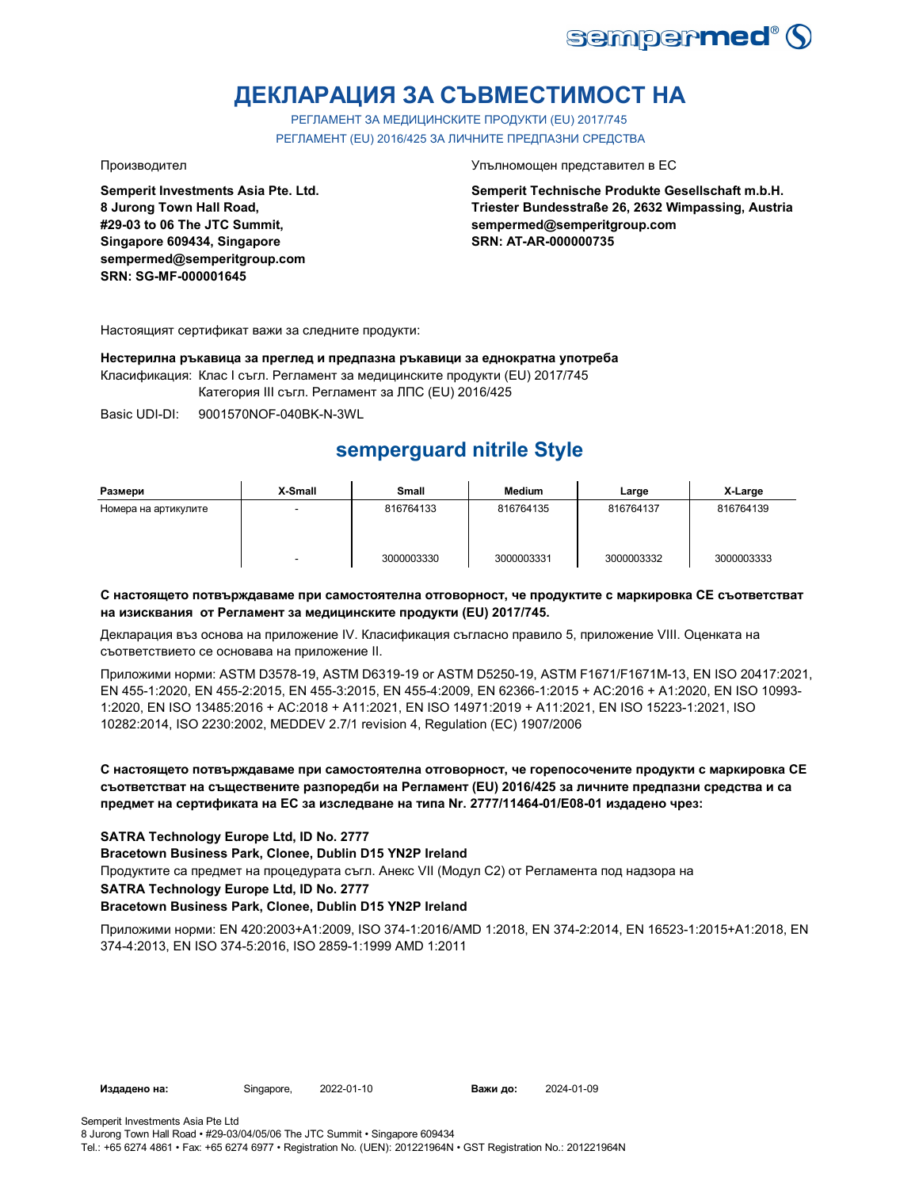

# **ДЕКЛАРАЦИЯ ЗА СЪВМЕСТИМОСТ НА**

РЕГЛАМЕНТ ЗА МЕДИЦИНСКИТЕ ПРОДУКТИ (EU) 2017/745 РЕГЛАМЕНТ (EU) 2016/425 ЗА ЛИЧНИТЕ ПРЕДПАЗНИ СРЕДСТВА

**Semperit Investments Asia Pte. Ltd. 8 Jurong Town Hall Road, #29-03 to 06 The JTC Summit, Singapore 609434, Singapore sempermed@semperitgroup.com SRN: SG-MF-000001645**

Производител Упълномощен представител в ЕС

**Semperit Technische Produkte Gesellschaft m.b.H. Triester Bundesstraße 26, 2632 Wimpassing, Austria sempermed@semperitgroup.com SRN: AT-AR-000000735**

Настоящият сертификат важи за следните продукти:

**Нестерилна ръкавица за преглед и предпазна ръкавици за еднократна употреба**

Класификация: Клас I съгл. Регламент за медицинските продукти (EU) 2017/745

Категория III съгл. Регламент за ЛПС (EU) 2016/425

Basic UDI-DI: 9001570NOF-040BK-N-3WL

# **semperguard nitrile Style**

| Размери              | X-Small | Small      | <b>Medium</b> | Large      | X-Large    |
|----------------------|---------|------------|---------------|------------|------------|
| Номера на артикулите | $\sim$  | 816764133  | 816764135     | 816764137  | 816764139  |
|                      | -       | 3000003330 | 3000003331    | 3000003332 | 3000003333 |

#### **С настоящето потвърждаваме при самостоятелна отговорност, че продуктите с маркировка СЕ съответстват на изисквания от Регламент за медицинските продукти (EU) 2017/745.**

Декларация въз основа на приложение IV. Класификация съгласно правило 5, приложение VIII. Оценката на съответствието се основава на приложение II.

Приложими норми: ASTM D3578-19, ASTM D6319-19 or ASTM D5250-19, ASTM F1671/F1671M-13, EN ISO 20417:2021, EN 455-1:2020, EN 455-2:2015, EN 455-3:2015, EN 455-4:2009, EN 62366-1:2015 + AC:2016 + A1:2020, EN ISO 10993- 1:2020, EN ISO 13485:2016 + AC:2018 + A11:2021, EN ISO 14971:2019 + A11:2021, EN ISO 15223-1:2021, ISO 10282:2014, ISO 2230:2002, MEDDEV 2.7/1 revision 4, Regulation (EC) 1907/2006

### **С настоящето потвърждаваме при самостоятелна отговорност, че горепосочените продукти с маркировка СЕ съответстват на съществените разпоредби на Регламент (EU) 2016/425 за личните предпазни средства и са предмет на сертификата на ЕС за изследване на типа Nr. 2777/11464-01/E08-01 издадено чрез:**

### **SATRA Technology Europe Ltd, ID No. 2777**

**Bracetown Business Park, Clonee, Dublin D15 YN2P Ireland**

Продуктите са предмет на процедурата съгл. Анекс VII (Модул С2) от Регламента под надзора на

#### **SATRA Technology Europe Ltd, ID No. 2777**

### **Bracetown Business Park, Clonee, Dublin D15 YN2P Ireland**

Приложими норми: EN 420:2003+A1:2009, ISO 374-1:2016/AMD 1:2018, EN 374-2:2014, EN 16523-1:2015+A1:2018, EN 374-4:2013, EN ISO 374-5:2016, ISO 2859-1:1999 AMD 1:2011

**Издадено на:** Singapore, **Важи до:**

2024-01-09